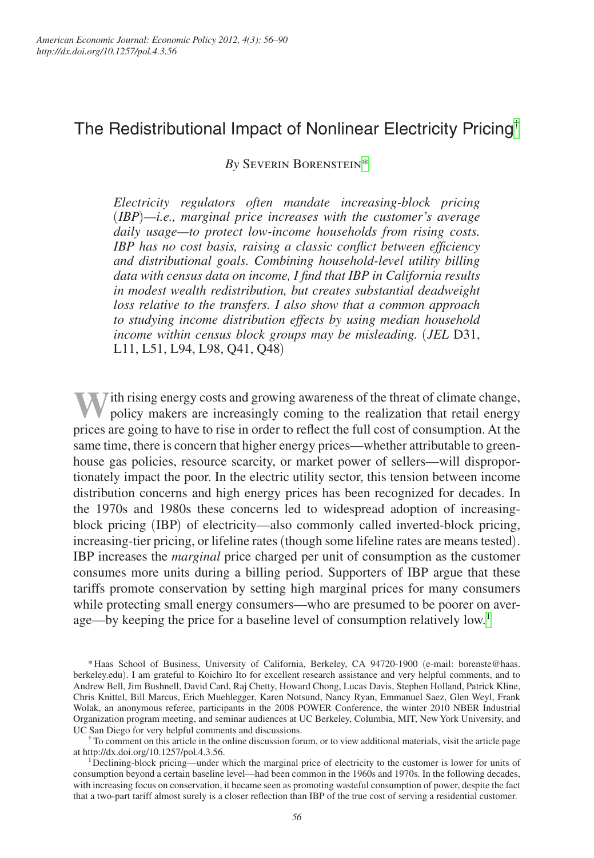# The Redistributional Impact of Nonlinear Electricity Pricing[†](#page-0-1)

*By* Severin Borenstei[n\\*](#page-0-2)

*Electricity regulators often mandate increasing-block pricing*  (*IBP*)*—i.e., marginal price increases with the customer's average daily usage—to protect low-income households from rising costs. IBP has no cost basis, raising a classic conflict between efficiency and distributional goals. Combining household-level utility billing data with census data on income, I find that IBP in California results in modest wealth redistribution, but creates substantial deadweight loss relative to the transfers. I also show that a common approach to studying income distribution effects by using median household income within census block groups may be misleading.* (*JEL* D31, L11, L51, L94, L98, Q41, Q48)

**W**ith rising energy costs and growing awareness of the threat of climate change, policy makers are increasingly coming to the realization that retail energy prices are going to have to rise in order to reflect the full cost of consumption. At the same time, there is concern that higher energy prices—whether attributable to greenhouse gas policies, resource scarcity, or market power of sellers—will disproportionately impact the poor. In the electric utility sector, this tension between income distribution concerns and high energy prices has been recognized for decades. In the 1970s and 1980s these concerns led to widespread adoption of increasingblock pricing (IBP) of electricity—also commonly called inverted-block pricing, increasing-tier pricing, or lifeline rates (though some lifeline rates are means tested). IBP increases the *marginal* price charged per unit of consumption as the customer consumes more units during a billing period. Supporters of IBP argue that these tariffs promote conservation by setting high marginal prices for many consumers while protecting small energy consumers—who are presumed to be poorer on average—by keeping the price for a baseline level of consumption relatively  $low<sup>1</sup>$  $low<sup>1</sup>$  $low<sup>1</sup>$ 

<span id="page-0-2"></span>\*Haas School of Business, University of California, Berkeley, CA 94720-1900 (e-mail: borenste@haas. berkeley.edu). I am grateful to Koichiro Ito for excellent research assistance and very helpful comments, and to Andrew Bell, Jim Bushnell, David Card, Raj Chetty, Howard Chong, Lucas Davis, Stephen Holland, Patrick Kline, Chris Knittel, Bill Marcus, Erich Muehlegger, Karen Notsund, Nancy Ryan, Emmanuel Saez, Glen Weyl, Frank Wolak, an anonymous referee, participants in the 2008 POWER Conference, the winter 2010 NBER Industrial Organization program meeting, and seminar audiences at UC Berkeley, Columbia, MIT, New York University, and

<span id="page-0-1"></span> $\ddot{\tau}$  To comment on this article in the online discussion forum, or to view additional materials, visit the article page at <http://dx.doi.org/10.1257/pol.4.3.56>.

<span id="page-0-0"></span><sup>1</sup>Declining-block pricing—under which the marginal price of electricity to the customer is lower for units of consumption beyond a certain baseline level—had been common in the 1960s and 1970s. In the following decades, with increasing focus on conservation, it became seen as promoting wasteful consumption of power, despite the fact that a two-part tariff almost surely is a closer reflection than IBP of the true cost of serving a residential customer.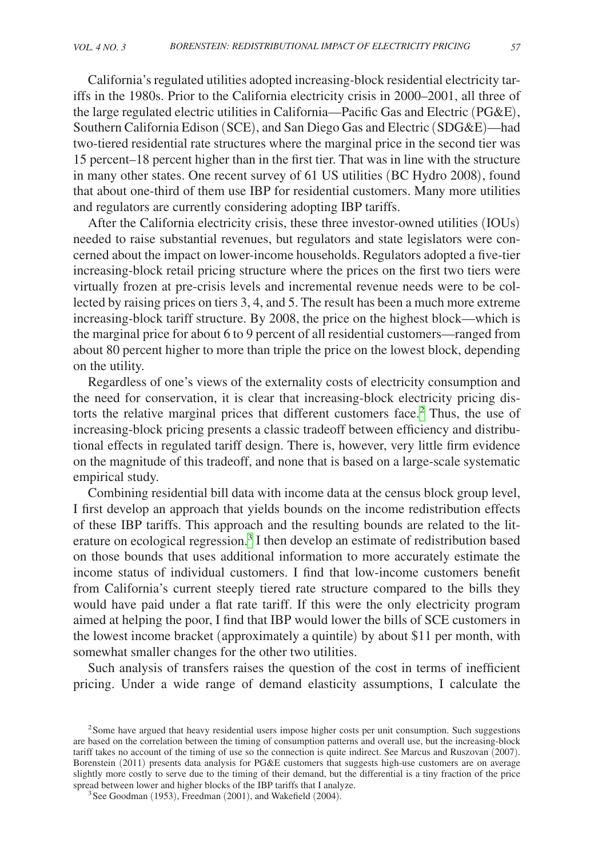California's regulated utilities adopted increasing-block residential electricity tariffs in the 1980s. Prior to the California electricity crisis in 2000–2001, all three of the large regulated electric utilities in California—Pacific Gas and Electric (PG&E), Southern California Edison (SCE), and San Diego Gas and Electric (SDG&E)—had two-tiered residential rate structures where the marginal price in the second tier was 15 percent–18 percent higher than in the first tier. That was in line with the structure in many other states. One recent survey of 61 US utilities (BC Hydro 2008), found that about one-third of them use IBP for residential customers. Many more utilities and regulators are currently considering adopting IBP tariffs.

After the California electricity crisis, these three investor-owned utilities (IOUs) needed to raise substantial revenues, but regulators and state legislators were concerned about the impact on lower-income households. Regulators adopted a five-tier increasing-block retail pricing structure where the prices on the first two tiers were virtually frozen at pre-crisis levels and incremental revenue needs were to be collected by raising prices on tiers 3, 4, and 5. The result has been a much more extreme increasing-block tariff structure. By 2008, the price on the highest block—which is the marginal price for about 6 to 9 percent of all residential customers—ranged from about 80 percent higher to more than triple the price on the lowest block, depending on the utility.

Regardless of one's views of the externality costs of electricity consumption and the need for conservation, it is clear that increasing-block electricity pricing dis-torts the relative marginal prices that different customers face.<sup>[2](#page-1-0)</sup> Thus, the use of increasing-block pricing presents a classic tradeoff between efficiency and distributional effects in regulated tariff design. There is, however, very little firm evidence on the magnitude of this tradeoff, and none that is based on a large-scale systematic empirical study.

Combining residential bill data with income data at the census block group level, I first develop an approach that yields bounds on the income redistribution effects of these IBP tariffs. This approach and the resulting bounds are related to the lit-erature on ecological regression.<sup>[3](#page-1-1)</sup> I then develop an estimate of redistribution based on those bounds that uses additional information to more accurately estimate the income status of individual customers. I find that low-income customers benefit from California's current steeply tiered rate structure compared to the bills they would have paid under a flat rate tariff. If this were the only electricity program aimed at helping the poor, I find that IBP would lower the bills of SCE customers in the lowest income bracket (approximately a quintile) by about \$11 per month, with somewhat smaller changes for the other two utilities.

Such analysis of transfers raises the question of the cost in terms of inefficient pricing. Under a wide range of demand elasticity assumptions, I calculate the

<span id="page-1-0"></span><sup>&</sup>lt;sup>2</sup> Some have argued that heavy residential users impose higher costs per unit consumption. Such suggestions are based on the correlation between the timing of consumption patterns and overall use, but the increasing-block tariff takes no account of the timing of use so the connection is quite indirect. See Marcus and Ruszovan (2007). Borenstein (2011) presents data analysis for PG&E customers that suggests high-use customers are on average slightly more costly to serve due to the timing of their demand, but the differential is a tiny fraction of the price spread between lower and higher blocks of the IBP tariffs that I analyze.

<span id="page-1-1"></span> $3$  See Goodman (1953), Freedman (2001), and Wakefield (2004).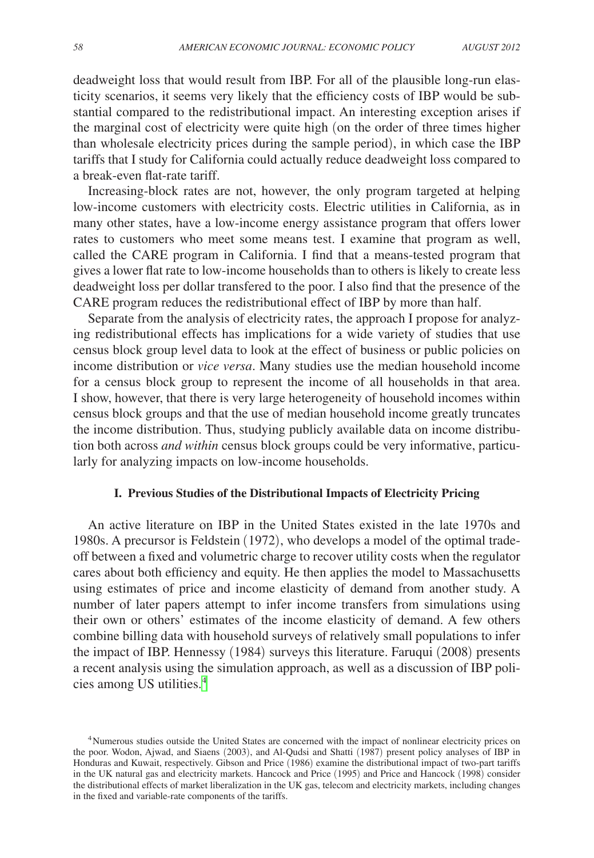<span id="page-2-0"></span>deadweight loss that would result from IBP. For all of the plausible long-run elasticity scenarios, it seems very likely that the efficiency costs of IBP would be substantial compared to the redistributional impact. An interesting exception arises if the marginal cost of electricity were quite high (on the order of three times higher than wholesale electricity prices during the sample period), in which case the IBP tariffs that I study for California could actually reduce deadweight loss compared to a break-even flat-rate tariff.

Increasing-block rates are not, however, the only program targeted at helping low-income customers with electricity costs. Electric utilities in California, as in many other states, have a low-income energy assistance program that offers lower rates to customers who meet some means test. I examine that program as well, called the CARE program in California. I find that a means-tested program that gives a lower flat rate to low-income households than to others is likely to create less deadweight loss per dollar transfered to the poor. I also find that the presence of the CARE program reduces the redistributional effect of IBP by more than half.

Separate from the analysis of electricity rates, the approach I propose for analyzing redistributional effects has implications for a wide variety of studies that use census block group level data to look at the effect of business or public policies on income distribution or *vice versa*. Many studies use the median household income for a census block group to represent the income of all households in that area. I show, however, that there is very large heterogeneity of household incomes within census block groups and that the use of median household income greatly truncates the income distribution. Thus, studying publicly available data on income distribution both across *and within* census block groups could be very informative, particularly for analyzing impacts on low-income households.

#### **I. Previous Studies of the Distributional Impacts of Electricity Pricing**

An active literature on IBP in the United States existed in the late 1970s and 1980s. A precursor is Feldstein (1972), who develops a model of the optimal tradeoff between a fixed and volumetric charge to recover utility costs when the regulator cares about both efficiency and equity. He then applies the model to Massachusetts using estimates of price and income elasticity of demand from another study. A number of later papers attempt to infer income transfers from simulations using their own or others' estimates of the income elasticity of demand. A few others combine billing data with household surveys of relatively small populations to infer the impact of IBP. Hennessy (1984) surveys this literature. Faruqui (2008) presents a recent analysis using the simulation approach, as well as a discussion of IBP policies among US utilities.[4](#page-2-1)

<span id="page-2-1"></span><sup>&</sup>lt;sup>4</sup>Numerous studies outside the United States are concerned with the impact of nonlinear electricity prices on the poor. Wodon, Ajwad, and Siaens (2003), and Al-Qudsi and Shatti (1987) present policy analyses of IBP in Honduras and Kuwait, respectively. Gibson and Price (1986) examine the distributional impact of two-part tariffs in the UK natural gas and electricity markets. Hancock and Price (1995) and Price and Hancock (1998) consider the distributional effects of market liberalization in the UK gas, telecom and electricity markets, including changes in the fixed and variable-rate components of the tariffs.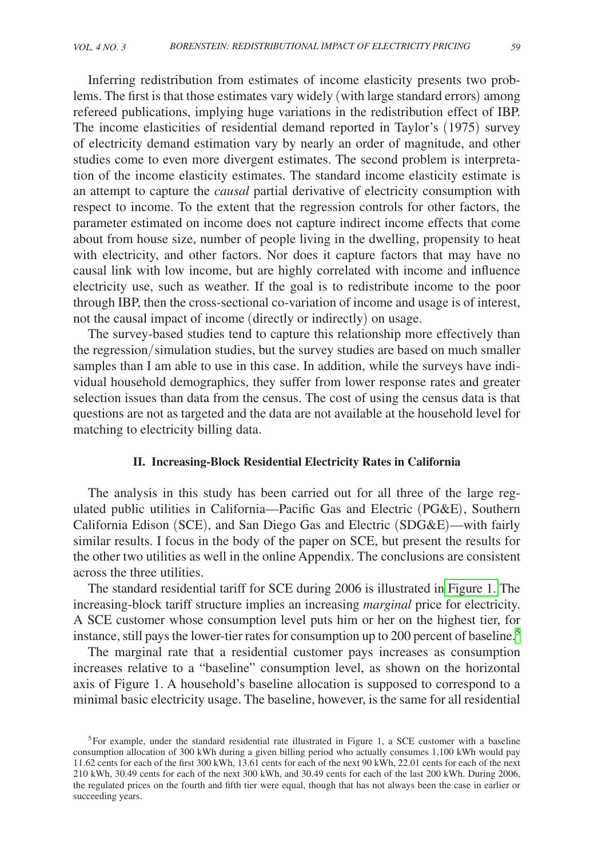<span id="page-3-0"></span>Inferring redistribution from estimates of income elasticity presents two problems. The first is that those estimates vary widely (with large standard errors) among refereed publications, implying huge variations in the redistribution effect of IBP. The income elasticities of residential demand reported in Taylor's (1975) survey of electricity demand estimation vary by nearly an order of magnitude, and other studies come to even more divergent estimates. The second problem is interpretation of the income elasticity estimates. The standard income elasticity estimate is an attempt to capture the *causal* partial derivative of electricity consumption with respect to income. To the extent that the regression controls for other factors, the parameter estimated on income does not capture indirect income effects that come about from house size, number of people living in the dwelling, propensity to heat with electricity, and other factors. Nor does it capture factors that may have no causal link with low income, but are highly correlated with income and influence electricity use, such as weather. If the goal is to redistribute income to the poor through IBP, then the cross-sectional co-variation of income and usage is of interest, not the causal impact of income (directly or indirectly) on usage.

The survey-based studies tend to capture this relationship more effectively than the regression/simulation studies, but the survey studies are based on much smaller samples than I am able to use in this case. In addition, while the surveys have individual household demographics, they suffer from lower response rates and greater selection issues than data from the census. The cost of using the census data is that questions are not as targeted and the data are not available at the household level for matching to electricity billing data.

#### **II. Increasing-Block Residential Electricity Rates in California**

The analysis in this study has been carried out for all three of the large regulated public utilities in California—Pacific Gas and Electric (PG&E), Southern California Edison (SCE), and San Diego Gas and Electric (SDG&E)—with fairly similar results. I focus in the body of the paper on SCE, but present the results for the other two utilities as well in the online Appendix. The conclusions are consistent across the three utilities.

The standard residential tariff for SCE during 2006 is illustrated in [Figure 1.](#page-4-0) The increasing-block tariff structure implies an increasing *marginal* price for electricity. A SCE customer whose consumption level puts him or her on the highest tier, for instance, still pays the lower-tier rates for consumption up to 200 percent of baseline.<sup>[5](#page-3-1)</sup>

The marginal rate that a residential customer pays increases as consumption increases relative to a "baseline" consumption level, as shown on the horizontal axis of Figure 1. A household's baseline allocation is supposed to correspond to a minimal basic electricity usage. The baseline, however, is the same for all residential

<span id="page-3-1"></span><sup>5</sup>For example, under the standard residential rate illustrated in Figure 1, a SCE customer with a baseline consumption allocation of 300 kWh during a given billing period who actually consumes 1,100 kWh would pay 11.62 cents for each of the first 300 kWh, 13.61 cents for each of the next 90 kWh, 22.01 cents for each of the next 210 kWh, 30.49 cents for each of the next 300 kWh, and 30.49 cents for each of the last 200 kWh. During 2006, the regulated prices on the fourth and fifth tier were equal, though that has not always been the case in earlier or succeeding years.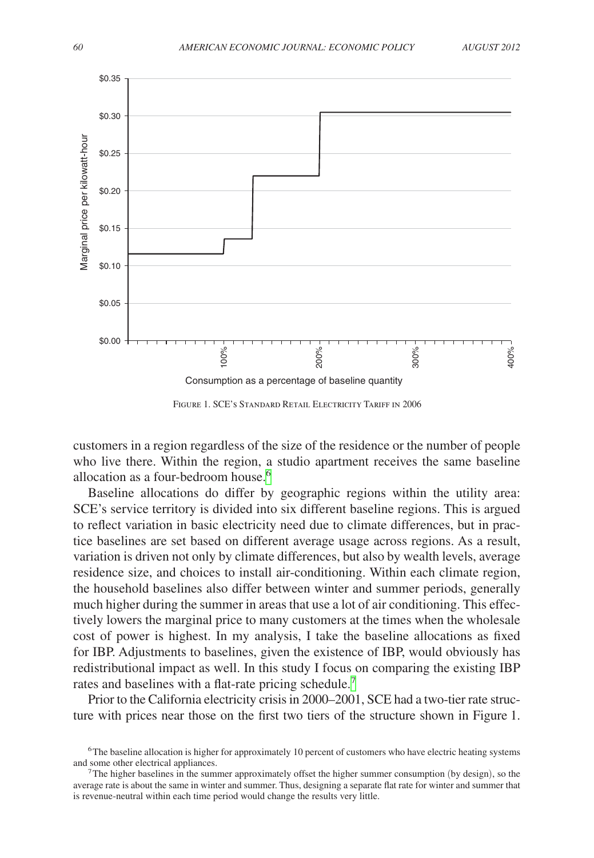<span id="page-4-0"></span>

FIGURE 1. SCE's STANDARD RETAIL ELECTRICITY TARIFF IN 2006

customers in a region regardless of the size of the residence or the number of people who live there. Within the region, a studio apartment receives the same baseline allocation as a four-bedroom house.<sup>[6](#page-4-1)</sup>

Baseline allocations do differ by geographic regions within the utility area: SCE's service territory is divided into six different baseline regions. This is argued to reflect variation in basic electricity need due to climate differences, but in practice baselines are set based on different average usage across regions. As a result, variation is driven not only by climate differences, but also by wealth levels, average residence size, and choices to install air-conditioning. Within each climate region, the household baselines also differ between winter and summer periods, generally much higher during the summer in areas that use a lot of air conditioning. This effectively lowers the marginal price to many customers at the times when the wholesale cost of power is highest. In my analysis, I take the baseline allocations as fixed for IBP. Adjustments to baselines, given the existence of IBP, would obviously has redistributional impact as well. In this study I focus on comparing the existing IBP rates and baselines with a flat-rate pricing schedule.<sup>7</sup>

Prior to the California electricity crisis in 2000–2001, SCE had a two-tier rate structure with prices near those on the first two tiers of the structure shown in Figure 1.

<span id="page-4-1"></span><sup>&</sup>lt;sup>6</sup>The baseline allocation is higher for approximately 10 percent of customers who have electric heating systems and some other electrical appliances.<br><sup>7</sup>The higher baselines in the summer approximately offset the higher summer consumption (by design), so the

<span id="page-4-2"></span>average rate is about the same in winter and summer. Thus, designing a separate flat rate for winter and summer that is revenue-neutral within each time period would change the results very little.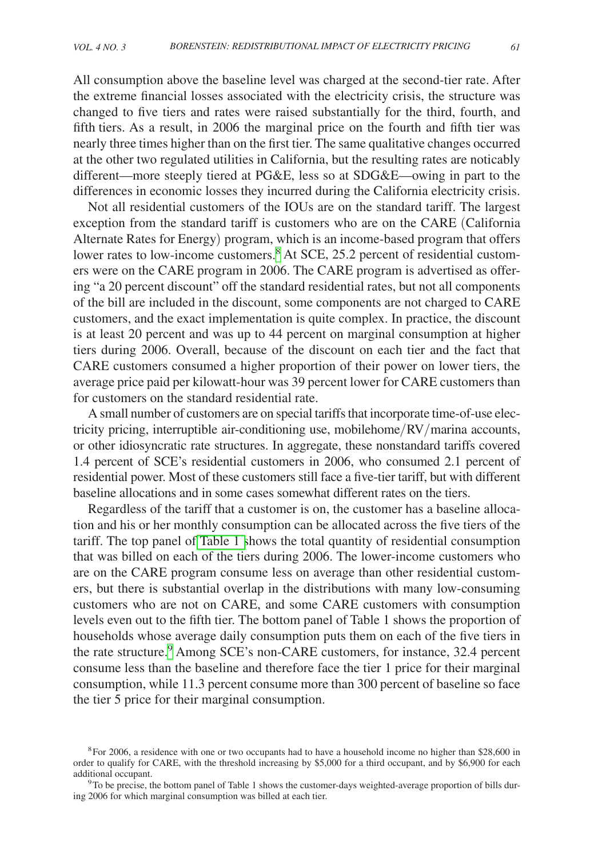All consumption above the baseline level was charged at the second-tier rate. After the extreme financial losses associated with the electricity crisis, the structure was changed to five tiers and rates were raised substantially for the third, fourth, and fifth tiers. As a result, in 2006 the marginal price on the fourth and fifth tier was nearly three times higher than on the first tier. The same qualitative changes occurred at the other two regulated utilities in California, but the resulting rates are noticably different—more steeply tiered at PG&E, less so at SDG&E—owing in part to the differences in economic losses they incurred during the California electricity crisis.

Not all residential customers of the IOUs are on the standard tariff. The largest exception from the standard tariff is customers who are on the CARE (California Alternate Rates for Energy) program, which is an income-based program that offers lower rates to low-income customers.<sup>[8](#page-5-0)</sup> At SCE, 25.2 percent of residential customers were on the CARE program in 2006. The CARE program is advertised as offering "a 20 percent discount" off the standard residential rates, but not all components of the bill are included in the discount, some components are not charged to CARE customers, and the exact implementation is quite complex. In practice, the discount is at least 20 percent and was up to 44 percent on marginal consumption at higher tiers during 2006. Overall, because of the discount on each tier and the fact that CARE customers consumed a higher proportion of their power on lower tiers, the average price paid per kilowatt-hour was 39 percent lower for CARE customers than for customers on the standard residential rate.

A small number of customers are on special tariffs that incorporate time-of-use electricity pricing, interruptible air-conditioning use, mobilehome/RV/marina accounts, or other idiosyncratic rate structures. In aggregate, these nonstandard tariffs covered 1.4 percent of SCE's residential customers in 2006, who consumed 2.1 percent of residential power. Most of these customers still face a five-tier tariff, but with different baseline allocations and in some cases somewhat different rates on the tiers.

Regardless of the tariff that a customer is on, the customer has a baseline allocation and his or her monthly consumption can be allocated across the five tiers of the tariff. The top panel of [Table 1 s](#page-6-0)hows the total quantity of residential consumption that was billed on each of the tiers during 2006. The lower-income customers who are on the CARE program consume less on average than other residential customers, but there is substantial overlap in the distributions with many low-consuming customers who are not on CARE, and some CARE customers with consumption levels even out to the fifth tier. The bottom panel of Table 1 shows the proportion of households whose average daily consumption puts them on each of the five tiers in the rate structure.<sup>[9](#page-5-1)</sup> Among SCE's non-CARE customers, for instance, 32.4 percent consume less than the baseline and therefore face the tier 1 price for their marginal consumption, while 11.3 percent consume more than 300 percent of baseline so face the tier 5 price for their marginal consumption.

<span id="page-5-0"></span><sup>&</sup>lt;sup>8</sup>For 2006, a residence with one or two occupants had to have a household income no higher than \$28,600 in order to qualify for CARE, with the threshold increasing by \$5,000 for a third occupant, and by \$6,900 for each additional occupant.<br><sup>9</sup>To be precise, the bottom panel of Table 1 shows the customer-days weighted-average proportion of bills dur-

<span id="page-5-1"></span>ing 2006 for which marginal consumption was billed at each tier.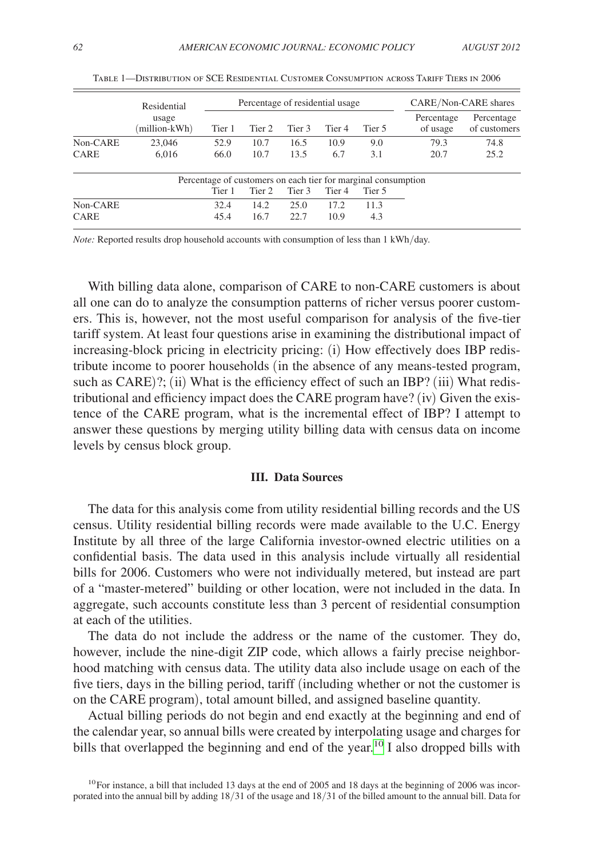<span id="page-6-0"></span>

|                         | Residential<br>usage<br>(million-kWh) |              | Percentage of residential usage |              | CARE/Non-CARE shares |                                                                         |                        |                            |
|-------------------------|---------------------------------------|--------------|---------------------------------|--------------|----------------------|-------------------------------------------------------------------------|------------------------|----------------------------|
|                         |                                       | Tier 1       | Tier 2                          | Tier 3       | Tier 4               | Tier 5                                                                  | Percentage<br>of usage | Percentage<br>of customers |
| Non-CARE<br><b>CARE</b> | 23,046<br>6.016                       | 52.9<br>66.0 | 10.7<br>10.7                    | 16.5<br>13.5 | 10.9<br>6.7          | 9.0<br>3.1                                                              | 79.3<br>20.7           | 74.8<br>25.2               |
|                         |                                       | Tier 1       | Tier 2                          | Tier 3       | Tier 4               | Percentage of customers on each tier for marginal consumption<br>Tier 5 |                        |                            |

Table 1—Distribution of SCE Residential Customer Consumption across Tariff Tiers in 2006

*Note:* Reported results drop household accounts with consumption of less than 1 kWh/day.

Non-CARE 32.4 14.2 25.0 17.2 11.3 CARE 45.4 16.7 22.7 10.9 4.3

With billing data alone, comparison of CARE to non-CARE customers is about all one can do to analyze the consumption patterns of richer versus poorer customers. This is, however, not the most useful comparison for analysis of the five-tier tariff system. At least four questions arise in examining the distributional impact of increasing-block pricing in electricity pricing: (i) How effectively does IBP redistribute income to poorer households (in the absence of any means-tested program, such as CARE)?; (ii) What is the efficiency effect of such an IBP? (iii) What redistributional and efficiency impact does the CARE program have? (iv) Given the existence of the CARE program, what is the incremental effect of IBP? I attempt to answer these questions by merging utility billing data with census data on income levels by census block group.

#### **III. Data Sources**

The data for this analysis come from utility residential billing records and the US census. Utility residential billing records were made available to the U.C. Energy Institute by all three of the large California investor-owned electric utilities on a confidential basis. The data used in this analysis include virtually all residential bills for 2006. Customers who were not individually metered, but instead are part of a "master-metered" building or other location, were not included in the data. In aggregate, such accounts constitute less than 3 percent of residential consumption at each of the utilities.

The data do not include the address or the name of the customer. They do, however, include the nine-digit ZIP code, which allows a fairly precise neighborhood matching with census data. The utility data also include usage on each of the five tiers, days in the billing period, tariff (including whether or not the customer is on the CARE program), total amount billed, and assigned baseline quantity.

<span id="page-6-1"></span>Actual billing periods do not begin and end exactly at the beginning and end of the calendar year, so annual bills were created by interpolating usage and charges for bills that overlapped the beginning and end of the year.<sup>10</sup> I also dropped bills with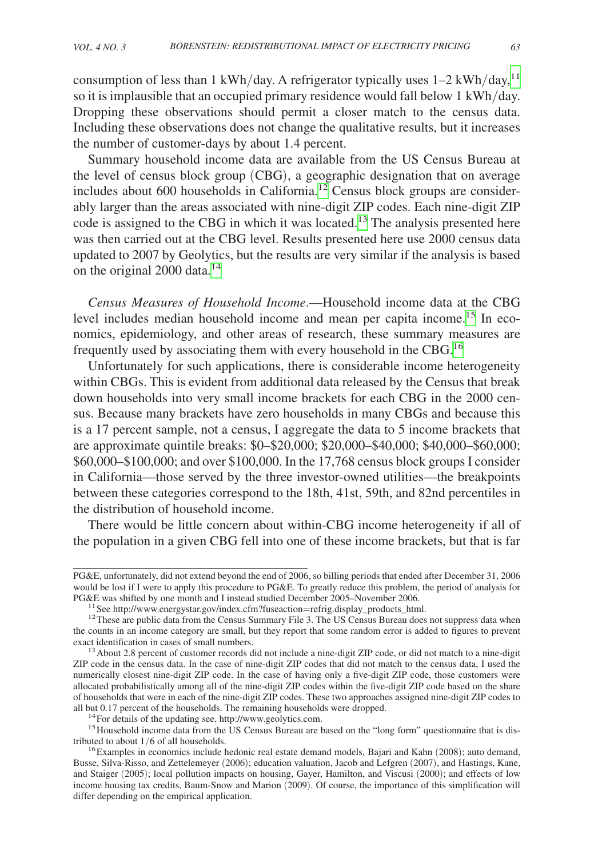consumption of less than 1 kWh/day. A refrigerator typically uses  $1-2$  kWh/day,<sup>[11](#page-7-0)</sup> so it is implausible that an occupied primary residence would fall below 1 kWh/day. Dropping these observations should permit a closer match to the census data. Including these observations does not change the qualitative results, but it increases the number of customer-days by about 1.4 percent.

Summary household income data are available from the US Census Bureau at the level of census block group (CBG), a geographic designation that on average includes about 600 households in California.<sup>[12](#page-7-1)</sup> Census block groups are considerably larger than the areas associated with nine-digit ZIP codes. Each nine-digit ZIP code is assigned to the CBG in which it was located.[13](#page-7-2) The analysis presented here was then carried out at the CBG level. Results presented here use 2000 census data updated to 2007 by Geolytics, but the results are very similar if the analysis is based on the original 2000 data.<sup>[14](#page-7-3)</sup>

*Census Measures of Household Income*.—Household income data at the CBG level includes median household income and mean per capita income.[15](#page-7-4) In economics, epidemiology, and other areas of research, these summary measures are frequently used by associating them with every household in the CBG.[16](#page-7-5)

Unfortunately for such applications, there is considerable income heterogeneity within CBGs. This is evident from additional data released by the Census that break down households into very small income brackets for each CBG in the 2000 census. Because many brackets have zero households in many CBGs and because this is a 17 percent sample, not a census, I aggregate the data to 5 income brackets that are approximate quintile breaks: \$0–\$20,000; \$20,000–\$40,000; \$40,000–\$60,000; \$60,000–\$100,000; and over \$100,000. In the 17,768 census block groups I consider in California—those served by the three investor-owned utilities—the breakpoints between these categories correspond to the 18th, 41st, 59th, and 82nd percentiles in the distribution of household income.

There would be little concern about within-CBG income heterogeneity if all of the population in a given CBG fell into one of these income brackets, but that is far

PG&E, unfortunately, did not extend beyond the end of 2006, so billing periods that ended after December 31, 2006 would be lost if I were to apply this procedure to PG&E. To greatly reduce this problem, the period of analysis for PG&E was shifted by one month and I instead studied December 2005–November 2006.

<span id="page-7-1"></span><span id="page-7-0"></span>

<sup>&</sup>lt;sup>11</sup> See http://www.energystar.gov/index.cfm?fuseaction=refrig.display\_products\_html.<br><sup>12</sup>These are public data from the Census Summary File 3. The US Census Bureau does not suppress data when the counts in an income category are small, but they report that some random error is added to figures to prevent exact identification in cases of small numbers.

<span id="page-7-2"></span> $13$  About 2.8 percent of customer records did not include a nine-digit ZIP code, or did not match to a nine-digit ZIP code in the census data. In the case of nine-digit ZIP codes that did not match to the census data, I used the numerically closest nine-digit ZIP code. In the case of having only a five-digit ZIP code, those customers were allocated probabilistically among all of the nine-digit ZIP codes within the five-digit ZIP code based on the share of households that were in each of the nine-digit ZIP codes. These two approaches assigned nine-digit ZIP codes to all but 0.17 percent of the households. The remaining households were dropped.<br><sup>14</sup> For details of the updating see, http://www.geolytics.com.<br><sup>15</sup> Household income data from the US Census Bureau are based on the "long for

<span id="page-7-5"></span><span id="page-7-4"></span><span id="page-7-3"></span>

tributed to about 1/6 of all households.<br><sup>16</sup>Examples in economics include hedonic real estate demand models, Bajari and Kahn (2008); auto demand,

Busse, Silva-Risso, and Zettelemeyer (2006); education valuation, Jacob and Lefgren (2007), and Hastings, Kane, and Staiger (2005); local pollution impacts on housing, Gayer, Hamilton, and Viscusi (2000); and effects of low income housing tax credits, Baum-Snow and Marion (2009). Of course, the importance of this simplification will differ depending on the empirical application.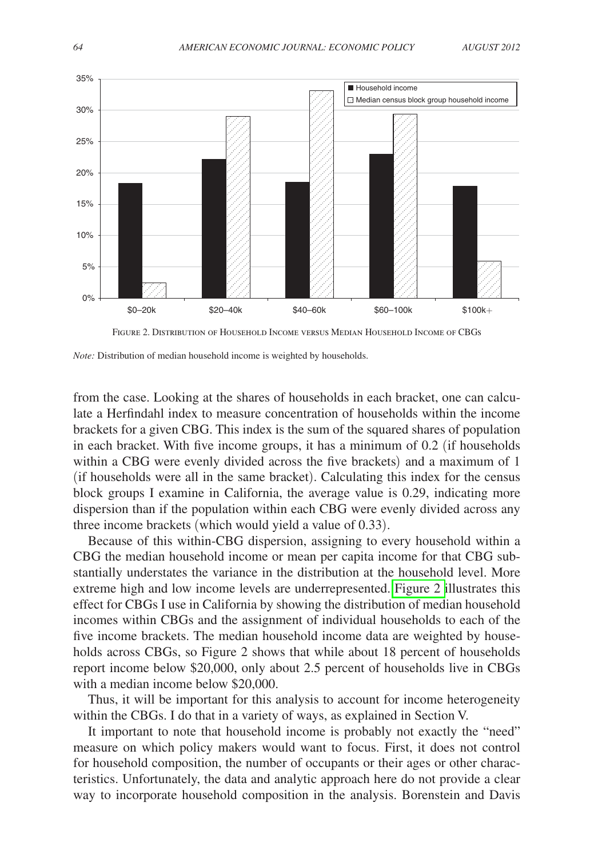

Figure 2. Distribution of Household Income versus Median Household Income of CBGs

from the case. Looking at the shares of households in each bracket, one can calculate a Herfindahl index to measure concentration of households within the income brackets for a given CBG. This index is the sum of the squared shares of population in each bracket. With five income groups, it has a minimum of 0.2 (if households within a CBG were evenly divided across the five brackets) and a maximum of 1 (if households were all in the same bracket). Calculating this index for the census block groups I examine in California, the average value is 0.29, indicating more dispersion than if the population within each CBG were evenly divided across any three income brackets (which would yield a value of 0.33).

Because of this within-CBG dispersion, assigning to every household within a CBG the median household income or mean per capita income for that CBG substantially understates the variance in the distribution at the household level. More extreme high and low income levels are underrepresented. Figure 2 illustrates this effect for CBGs I use in California by showing the distribution of median household incomes within CBGs and the assignment of individual households to each of the five income brackets. The median household income data are weighted by households across CBGs, so Figure 2 shows that while about 18 percent of households report income below \$20,000, only about 2.5 percent of households live in CBGs with a median income below \$20,000.

Thus, it will be important for this analysis to account for income heterogeneity within the CBGs. I do that in a variety of ways, as explained in Section V.

It important to note that household income is probably not exactly the "need" measure on which policy makers would want to focus. First, it does not control for household composition, the number of occupants or their ages or other characteristics. Unfortunately, the data and analytic approach here do not provide a clear way to incorporate household composition in the analysis. Borenstein and Davis

*Note:* Distribution of median household income is weighted by households.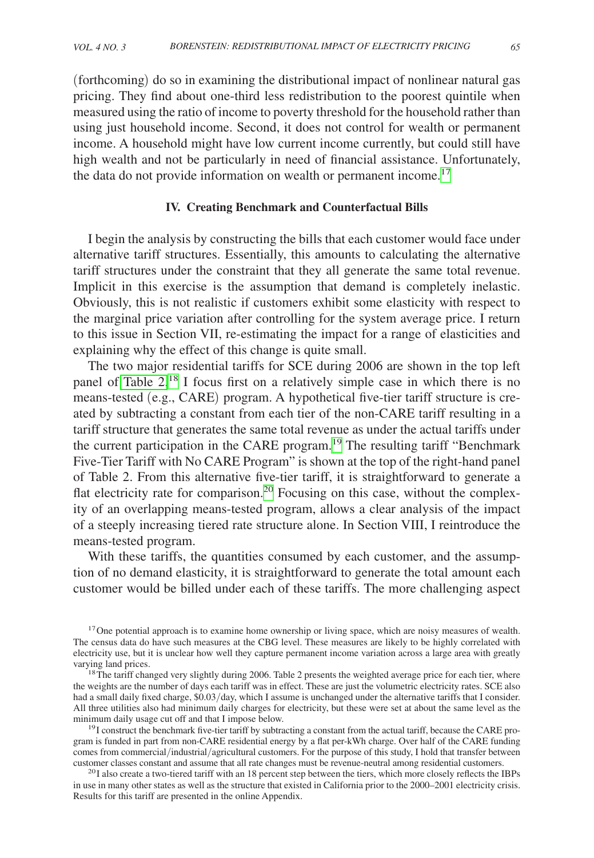<span id="page-9-0"></span>(forthcoming) do so in examining the distributional impact of nonlinear natural gas pricing. They find about one-third less redistribution to the poorest quintile when measured using the ratio of income to poverty threshold for the household rather than using just household income. Second, it does not control for wealth or permanent income. A household might have low current income currently, but could still have high wealth and not be particularly in need of financial assistance. Unfortunately, the data do not provide information on wealth or permanent income.<sup>[17](#page-9-1)</sup>

#### **IV. Creating Benchmark and Counterfactual Bills**

I begin the analysis by constructing the bills that each customer would face under alternative tariff structures. Essentially, this amounts to calculating the alternative tariff structures under the constraint that they all generate the same total revenue. Implicit in this exercise is the assumption that demand is completely inelastic. Obviously, this is not realistic if customers exhibit some elasticity with respect to the marginal price variation after controlling for the system average price. I return to this issue in Section VII, re-estimating the impact for a range of elasticities and explaining why the effect of this change is quite small.

The two major residential tariffs for SCE during 2006 are shown in the top left panel of Table  $2<sup>18</sup>$  I focus first on a relatively simple case in which there is no means-tested (e.g., CARE) program. A hypothetical five-tier tariff structure is created by subtracting a constant from each tier of the non-CARE tariff resulting in a tariff structure that generates the same total revenue as under the actual tariffs under the current participation in the CARE program.<sup>19</sup> The resulting tariff "Benchmark" Five-Tier Tariff with No CARE Program" is shown at the top of the right-hand panel of Table 2. From this alternative five-tier tariff, it is straightforward to generate a flat electricity rate for comparison.<sup>20</sup> Focusing on this case, without the complexity of an overlapping means-tested program, allows a clear analysis of the impact of a steeply increasing tiered rate structure alone. In Section VIII, I reintroduce the means-tested program.

With these tariffs, the quantities consumed by each customer, and the assumption of no demand elasticity, it is straightforward to generate the total amount each customer would be billed under each of these tariffs. The more challenging aspect

<span id="page-9-1"></span> $17$ One potential approach is to examine home ownership or living space, which are noisy measures of wealth. The census data do have such measures at the CBG level. These measures are likely to be highly correlated with electricity use, but it is unclear how well they capture permanent income variation across a large area with greatly

<span id="page-9-2"></span><sup>18</sup>The tariff changed very slightly during 2006. Table 2 presents the weighted average price for each tier, where the weights are the number of days each tariff was in effect. These are just the volumetric electricity rates. SCE also had a small daily fixed charge,  $$0.03/day$ , which I assume is unchanged under the alternative tariffs that I consider. All three utilities also had minimum daily charges for electricity, but these were set at about the same level as the minimum daily usage cut off and that I impose below.<br><sup>19</sup>I construct the benchmark five-tier tariff by subtracting a constant from the actual tariff, because the CARE pro-

<span id="page-9-3"></span>gram is funded in part from non-CARE residential energy by a flat per-kWh charge. Over half of the CARE funding comes from commercial/industrial/agricultural customers. For the purpose of this study, I hold that transfer between customer classes constant and assume that all rate changes must be revenue-neutral among residential cust

<span id="page-9-4"></span> $^{20}$ I also create a two-tiered tariff with an 18 percent step between the tiers, which more closely reflects the IBPs in use in many other states as well as the structure that existed in California prior to the 2000–2001 electricity crisis. Results for this tariff are presented in the online Appendix.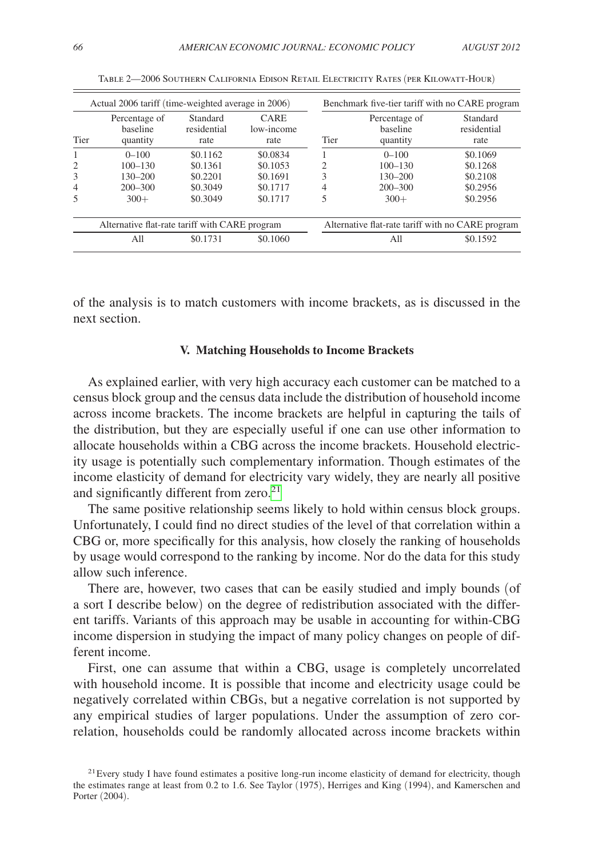<span id="page-10-0"></span>

|                | Actual 2006 tariff (time-weighted average in 2006) |                                 |                            |             | Benchmark five-tier tariff with no CARE program   |                                 |
|----------------|----------------------------------------------------|---------------------------------|----------------------------|-------------|---------------------------------------------------|---------------------------------|
| <b>Tier</b>    | Percentage of<br>baseline<br>quantity              | Standard<br>residential<br>rate | CARE<br>low-income<br>rate | <b>Tier</b> | Percentage of<br>baseline<br>quantity             | Standard<br>residential<br>rate |
| 1              | $0 - 100$                                          | \$0.1162                        | \$0.0834                   |             | $0 - 100$                                         | \$0.1069                        |
| 2              | $100 - 130$                                        | \$0.1361                        | \$0.1053                   | 2           | $100 - 130$                                       | \$0.1268                        |
| 3              | $130 - 200$                                        | \$0.2201                        | \$0.1691                   |             | $130 - 200$                                       | \$0.2108                        |
| $\overline{4}$ | $200 - 300$                                        | \$0.3049                        | \$0.1717                   | 4           | $200 - 300$                                       | \$0.2956                        |
| 5              | $300+$                                             | \$0.3049                        | \$0.1717                   | 5           | $300+$                                            | \$0.2956                        |
|                | Alternative flat-rate tariff with CARE program     |                                 |                            |             | Alternative flat-rate tariff with no CARE program |                                 |
|                | A11                                                | \$0.1731                        | \$0.1060                   |             | All                                               | \$0.1592                        |

Table 2—2006 Southern California Edison Retail Electricity Rates (per Kilowatt-Hour)

of the analysis is to match customers with income brackets, as is discussed in the next section.

#### **V. Matching Households to Income Brackets**

As explained earlier, with very high accuracy each customer can be matched to a census block group and the census data include the distribution of household income across income brackets. The income brackets are helpful in capturing the tails of the distribution, but they are especially useful if one can use other information to allocate households within a CBG across the income brackets. Household electricity usage is potentially such complementary information. Though estimates of the income elasticity of demand for electricity vary widely, they are nearly all positive and significantly different from zero.<sup>[21](#page-10-1)</sup>

The same positive relationship seems likely to hold within census block groups. Unfortunately, I could find no direct studies of the level of that correlation within a CBG or, more specifically for this analysis, how closely the ranking of households by usage would correspond to the ranking by income. Nor do the data for this study allow such inference.

There are, however, two cases that can be easily studied and imply bounds (of a sort I describe below) on the degree of redistribution associated with the different tariffs. Variants of this approach may be usable in accounting for within-CBG income dispersion in studying the impact of many policy changes on people of different income.

First, one can assume that within a CBG, usage is completely uncorrelated with household income. It is possible that income and electricity usage could be negatively correlated within CBGs, but a negative correlation is not supported by any empirical studies of larger populations. Under the assumption of zero correlation, households could be randomly allocated across income brackets within

<span id="page-10-1"></span><sup>&</sup>lt;sup>21</sup> Every study I have found estimates a positive long-run income elasticity of demand for electricity, though the estimates range at least from 0.2 to 1.6. See Taylor (1975), Herriges and King (1994), and Kamerschen and Porter (2004).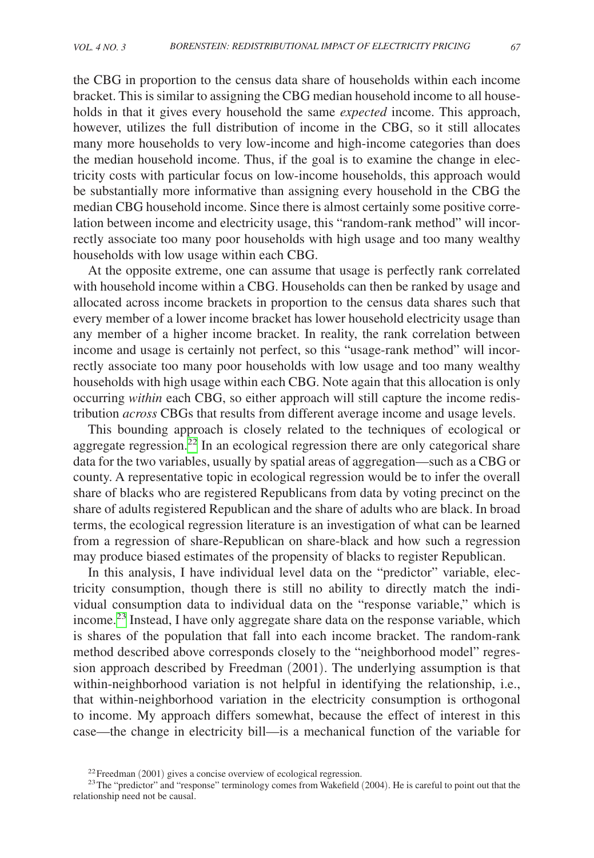the CBG in proportion to the census data share of households within each income bracket. This is similar to assigning the CBG median household income to all households in that it gives every household the same *expected* income. This approach, however, utilizes the full distribution of income in the CBG, so it still allocates many more households to very low-income and high-income categories than does the median household income. Thus, if the goal is to examine the change in electricity costs with particular focus on low-income households, this approach would be substantially more informative than assigning every household in the CBG the median CBG household income. Since there is almost certainly some positive correlation between income and electricity usage, this "random-rank method" will incorrectly associate too many poor households with high usage and too many wealthy households with low usage within each CBG.

At the opposite extreme, one can assume that usage is perfectly rank correlated with household income within a CBG. Households can then be ranked by usage and allocated across income brackets in proportion to the census data shares such that every member of a lower income bracket has lower household electricity usage than any member of a higher income bracket. In reality, the rank correlation between income and usage is certainly not perfect, so this "usage-rank method" will incorrectly associate too many poor households with low usage and too many wealthy households with high usage within each CBG. Note again that this allocation is only occurring *within* each CBG, so either approach will still capture the income redistribution *across* CBGs that results from different average income and usage levels.

This bounding approach is closely related to the techniques of ecological or aggregate regression.<sup>22</sup> In an ecological regression there are only categorical share data for the two variables, usually by spatial areas of aggregation—such as a CBG or county. A representative topic in ecological regression would be to infer the overall share of blacks who are registered Republicans from data by voting precinct on the share of adults registered Republican and the share of adults who are black. In broad terms, the ecological regression literature is an investigation of what can be learned from a regression of share-Republican on share-black and how such a regression may produce biased estimates of the propensity of blacks to register Republican.

In this analysis, I have individual level data on the "predictor" variable, electricity consumption, though there is still no ability to directly match the individual consumption data to individual data on the "response variable," which is income.<sup>23</sup> Instead, I have only aggregate share data on the response variable, which is shares of the population that fall into each income bracket. The random-rank method described above corresponds closely to the "neighborhood model" regression approach described by Freedman (2001). The underlying assumption is that within-neighborhood variation is not helpful in identifying the relationship, i.e., that within-neighborhood variation in the electricity consumption is orthogonal to income. My approach differs somewhat, because the effect of interest in this case—the change in electricity bill—is a mechanical function of the variable for

<span id="page-11-1"></span><span id="page-11-0"></span>

<sup>&</sup>lt;sup>22</sup> Freedman (2001) gives a concise overview of ecological regression.<br><sup>23</sup>The "predictor" and "response" terminology comes from Wakefield (2004). He is careful to point out that the relationship need not be causal.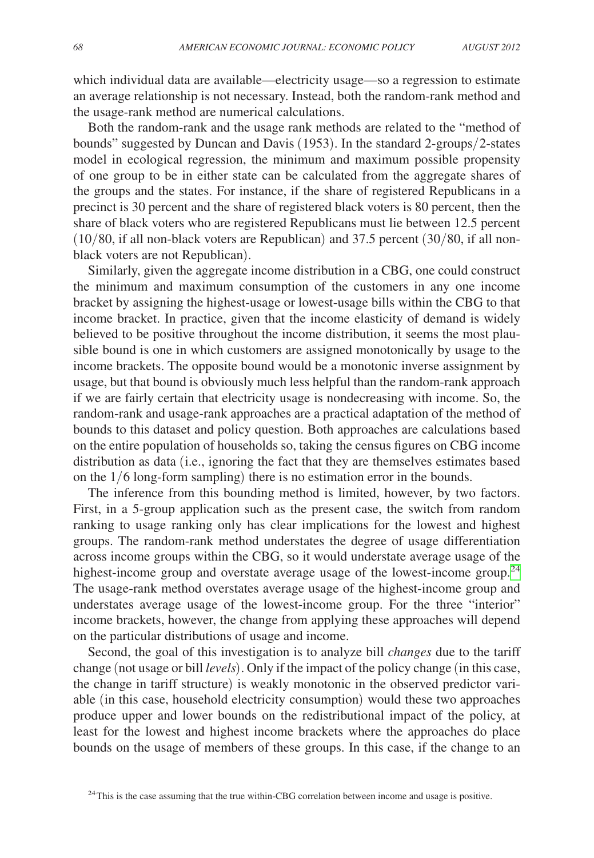which individual data are available—electricity usage—so a regression to estimate an average relationship is not necessary. Instead, both the random-rank method and the usage-rank method are numerical calculations.

Both the random-rank and the usage rank methods are related to the "method of bounds" suggested by Duncan and Davis (1953). In the standard 2-groups/2-states model in ecological regression, the minimum and maximum possible propensity of one group to be in either state can be calculated from the aggregate shares of the groups and the states. For instance, if the share of registered Republicans in a precinct is 30 percent and the share of registered black voters is 80 percent, then the share of black voters who are registered Republicans must lie between 12.5 percent (10/80, if all non-black voters are Republican) and 37.5 percent (30/80, if all nonblack voters are not Republican).

Similarly, given the aggregate income distribution in a CBG, one could construct the minimum and maximum consumption of the customers in any one income bracket by assigning the highest-usage or lowest-usage bills within the CBG to that income bracket. In practice, given that the income elasticity of demand is widely believed to be positive throughout the income distribution, it seems the most plausible bound is one in which customers are assigned monotonically by usage to the income brackets. The opposite bound would be a monotonic inverse assignment by usage, but that bound is obviously much less helpful than the random-rank approach if we are fairly certain that electricity usage is nondecreasing with income. So, the random-rank and usage-rank approaches are a practical adaptation of the method of bounds to this dataset and policy question. Both approaches are calculations based on the entire population of households so, taking the census figures on CBG income distribution as data (i.e., ignoring the fact that they are themselves estimates based on the 1/6 long-form sampling) there is no estimation error in the bounds.

The inference from this bounding method is limited, however, by two factors. First, in a 5-group application such as the present case, the switch from random ranking to usage ranking only has clear implications for the lowest and highest groups. The random-rank method understates the degree of usage differentiation across income groups within the CBG, so it would understate average usage of the highest-income group and overstate average usage of the lowest-income group.<sup>[24](#page-12-0)</sup> The usage-rank method overstates average usage of the highest-income group and understates average usage of the lowest-income group. For the three "interior" income brackets, however, the change from applying these approaches will depend on the particular distributions of usage and income.

Second, the goal of this investigation is to analyze bill *changes* due to the tariff change (not usage or bill *levels*). Only if the impact of the policy change (in this case, the change in tariff structure) is weakly monotonic in the observed predictor variable (in this case, household electricity consumption) would these two approaches produce upper and lower bounds on the redistributional impact of the policy, at least for the lowest and highest income brackets where the approaches do place bounds on the usage of members of these groups. In this case, if the change to an

<span id="page-12-0"></span><sup>&</sup>lt;sup>24</sup>This is the case assuming that the true within-CBG correlation between income and usage is positive.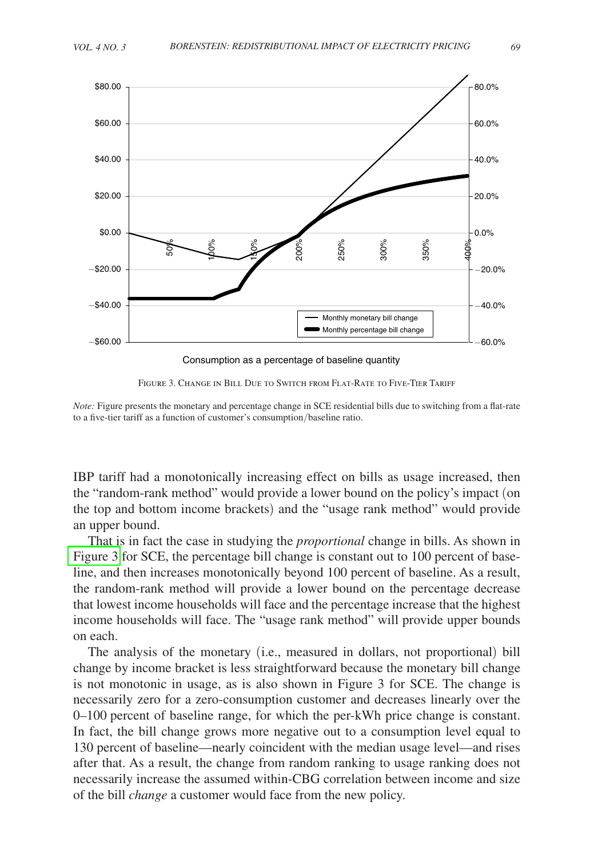



Figure 3. Change in Bill Due to Switch from Flat-Rate to Five-Tier Tariff

*Note:* Figure presents the monetary and percentage change in SCE residential bills due to switching from a flat-rate to a five-tier tariff as a function of customer's consumption/baseline ratio.

IBP tariff had a monotonically increasing effect on bills as usage increased, then the "random-rank method" would provide a lower bound on the policy's impact (on the top and bottom income brackets) and the "usage rank method" would provide an upper bound.

That is in fact the case in studying the *proportional* change in bills. As shown in Figure 3 for SCE, the percentage bill change is constant out to 100 percent of baseline, and then increases monotonically beyond 100 percent of baseline. As a result, the random-rank method will provide a lower bound on the percentage decrease that lowest income households will face and the percentage increase that the highest income households will face. The "usage rank method" will provide upper bounds on each.

The analysis of the monetary (i.e., measured in dollars, not proportional) bill change by income bracket is less straightforward because the monetary bill change is not monotonic in usage, as is also shown in Figure 3 for SCE. The change is necessarily zero for a zero-consumption customer and decreases linearly over the 0–100 percent of baseline range, for which the per-kWh price change is constant. In fact, the bill change grows more negative out to a consumption level equal to 130 percent of baseline—nearly coincident with the median usage level—and rises after that. As a result, the change from random ranking to usage ranking does not necessarily increase the assumed within-CBG correlation between income and size of the bill *change* a customer would face from the new policy.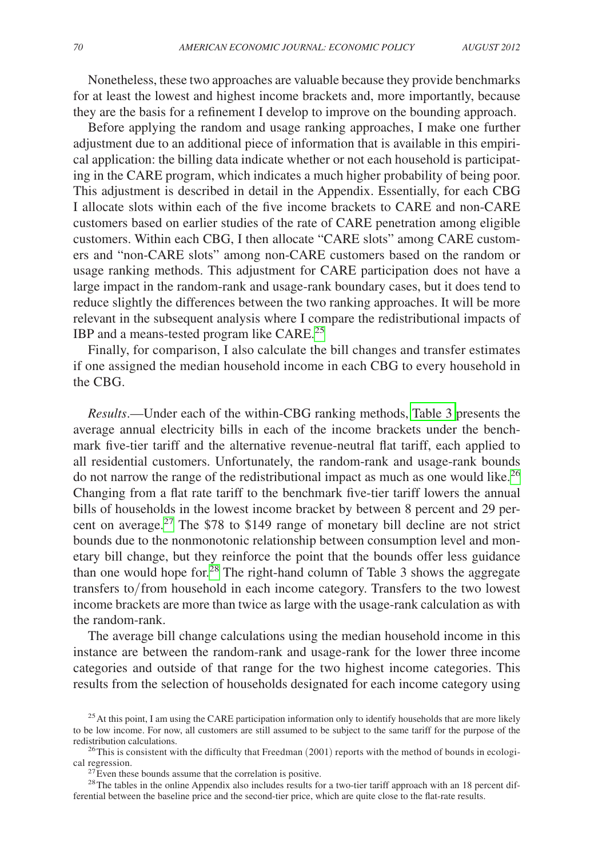Nonetheless, these two approaches are valuable because they provide benchmarks for at least the lowest and highest income brackets and, more importantly, because they are the basis for a refinement I develop to improve on the bounding approach.

Before applying the random and usage ranking approaches, I make one further adjustment due to an additional piece of information that is available in this empirical application: the billing data indicate whether or not each household is participating in the CARE program, which indicates a much higher probability of being poor. This adjustment is described in detail in the Appendix. Essentially, for each CBG I allocate slots within each of the five income brackets to CARE and non-CARE customers based on earlier studies of the rate of CARE penetration among eligible customers. Within each CBG, I then allocate "CARE slots" among CARE customers and "non-CARE slots" among non-CARE customers based on the random or usage ranking methods. This adjustment for CARE participation does not have a large impact in the random-rank and usage-rank boundary cases, but it does tend to reduce slightly the differences between the two ranking approaches. It will be more relevant in the subsequent analysis where I compare the redistributional impacts of IBP and a means-tested program like CARE.<sup>[25](#page-14-0)</sup>

Finally, for comparison, I also calculate the bill changes and transfer estimates if one assigned the median household income in each CBG to every household in the CBG.

*Results*.—Under each of the within-CBG ranking methods, [Table 3](#page-15-0) presents the average annual electricity bills in each of the income brackets under the benchmark five-tier tariff and the alternative revenue-neutral flat tariff, each applied to all residential customers. Unfortunately, the random-rank and usage-rank bounds do not narrow the range of the redistributional impact as much as one would like.<sup>[26](#page-14-1)</sup> Changing from a flat rate tariff to the benchmark five-tier tariff lowers the annual bills of households in the lowest income bracket by between 8 percent and 29 per-cent on average.<sup>[27](#page-14-2)</sup> The \$78 to \$149 range of monetary bill decline are not strict bounds due to the nonmonotonic relationship between consumption level and monetary bill change, but they reinforce the point that the bounds offer less guidance than one would hope for. $^{28}$  The right-hand column of Table 3 shows the aggregate transfers to/from household in each income category. Transfers to the two lowest income brackets are more than twice as large with the usage-rank calculation as with the random-rank.

The average bill change calculations using the median household income in this instance are between the random-rank and usage-rank for the lower three income categories and outside of that range for the two highest income categories. This results from the selection of households designated for each income category using

<span id="page-14-0"></span> $25$  At this point, I am using the CARE participation information only to identify households that are more likely to be low income. For now, all customers are still assumed to be subject to the same tariff for the purpose of the

<span id="page-14-1"></span>redistribution calculations.<br><sup>26</sup>This is consistent with the difficulty that Freedman (2001) reports with the method of bounds in ecologi-<br>cal regression.

<span id="page-14-3"></span><span id="page-14-2"></span>

<sup>&</sup>lt;sup>27</sup>Even these bounds assume that the correlation is positive.<br><sup>28</sup>The tables in the online Appendix also includes results for a two-tier tariff approach with an 18 percent differential between the baseline price and the second-tier price, which are quite close to the flat-rate results.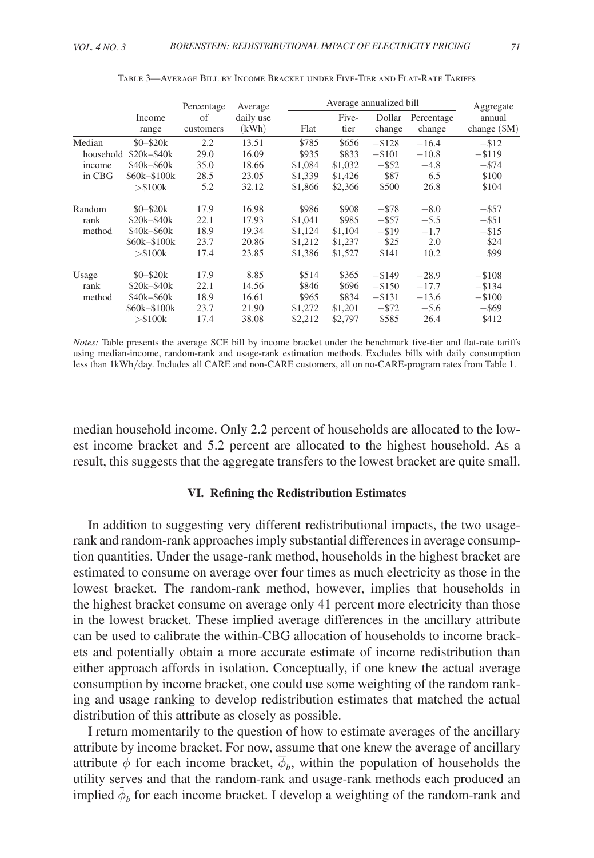<span id="page-15-0"></span>

|                            |                 |                    |         |               |                  |                      | Aggregate               |
|----------------------------|-----------------|--------------------|---------|---------------|------------------|----------------------|-------------------------|
| Income<br>range            | οf<br>customers | daily use<br>(kWh) | Flat    | Five-<br>tier | Dollar<br>change | Percentage<br>change | annual<br>change $(SM)$ |
| $$0 - $20k$                | 2.2             | 13.51              | \$785   | \$656         | $-$ \$128        | $-16.4$              | $-$ \$12                |
| $$20k - $40k$<br>household | 29.0            | 16.09              | \$935   | \$833         | $- $101$         | $-10.8$              | $-$ \$119               |
| \$40k-\$60k                | 35.0            | 18.66              | \$1,084 | \$1,032       | $-$ \$52         | $-4.8$               | $-$ \$74                |
| \$60k-\$100k               | 28.5            | 23.05              | \$1,339 | \$1,426       | \$87             | 6.5                  | \$100                   |
| $>$ \$100 $k$              | 5.2             | 32.12              | \$1,866 | \$2,366       | \$500            | 26.8                 | \$104                   |
| $$0 - $20k$                | 17.9            | 16.98              | \$986   | \$908         | $-578$           | $-8.0$               | $-$ \$57                |
| $$20k - $40k$              | 22.1            | 17.93              | \$1,041 | \$985         | $-$ \$57         | $-5.5$               | $-$ \$51                |
| \$40k-\$60k                | 18.9            | 19.34              | \$1,124 | \$1,104       | $-$ \$19         | $-1.7$               | $-$ \$15                |
| \$60k-\$100k               | 23.7            | 20.86              | \$1.212 | \$1,237       | \$25             | 2.0                  | \$24                    |
| $>$ \$100 $k$              | 17.4            | 23.85              | \$1,386 | \$1,527       | \$141            | 10.2                 | \$99                    |
| $$0 - $20k$                | 17.9            | 8.85               | \$514   | \$365         | $-$ \$149        | $-28.9$              | $-$ \$108               |
| $$20k - $40k$              | 22.1            | 14.56              | \$846   | \$696         | $-$ \$150        | $-17.7$              | $-$ \$134               |
| \$40k-\$60k                | 18.9            | 16.61              | \$965   | \$834         | $-$ \$131        | $-13.6$              | $-100$                  |
| \$60k-\$100k               | 23.7            | 21.90              | \$1,272 | \$1,201       | $-572$           | $-5.6$               | $-$ \$69                |
| $>$ \$100 $k$              | 17.4            | 38.08              | \$2,212 | \$2,797       | \$585            | 26.4                 | \$412                   |
|                            |                 | Percentage         | Average |               |                  |                      | Average annualized bill |

Table 3—Average Bill by Income Bracket under Five-Tier and Flat-Rate Tariffs

*Notes:* Table presents the average SCE bill by income bracket under the benchmark five-tier and flat-rate tariffs using median-income, random-rank and usage-rank estimation methods. Excludes bills with daily consumption less than 1kWh/day. Includes all CARE and non-CARE customers, all on no-CARE-program rates from Table 1.

median household income. Only 2.2 percent of households are allocated to the lowest income bracket and 5.2 percent are allocated to the highest household. As a result, this suggests that the aggregate transfers to the lowest bracket are quite small.

#### **VI. Refining the Redistribution Estimates**

In addition to suggesting very different redistributional impacts, the two usagerank and random-rank approaches imply substantial differences in average consumption quantities. Under the usage-rank method, households in the highest bracket are estimated to consume on average over four times as much electricity as those in the lowest bracket. The random-rank method, however, implies that households in the highest bracket consume on average only 41 percent more electricity than those in the lowest bracket. These implied average differences in the ancillary attribute can be used to calibrate the within-CBG allocation of households to income brackets and potentially obtain a more accurate estimate of income redistribution than either approach affords in isolation. Conceptually, if one knew the actual average consumption by income bracket, one could use some weighting of the random ranking and usage ranking to develop redistribution estimates that matched the actual distribution of this attribute as closely as possible.

I return momentarily to the question of how to estimate averages of the ancillary attribute by income bracket. For now, assume that one knew the average of ancillary attribute by income bracket. For now, assume that one knew the average of ancientally attribute  $\phi$  for each income bracket,  $\overline{\phi}_b$ , within the population of households the utility serves and that the random-rank and usage-rank methods each produced an implied  $\phi_b$  for each income bracket. I develop a weighting of the random-rank and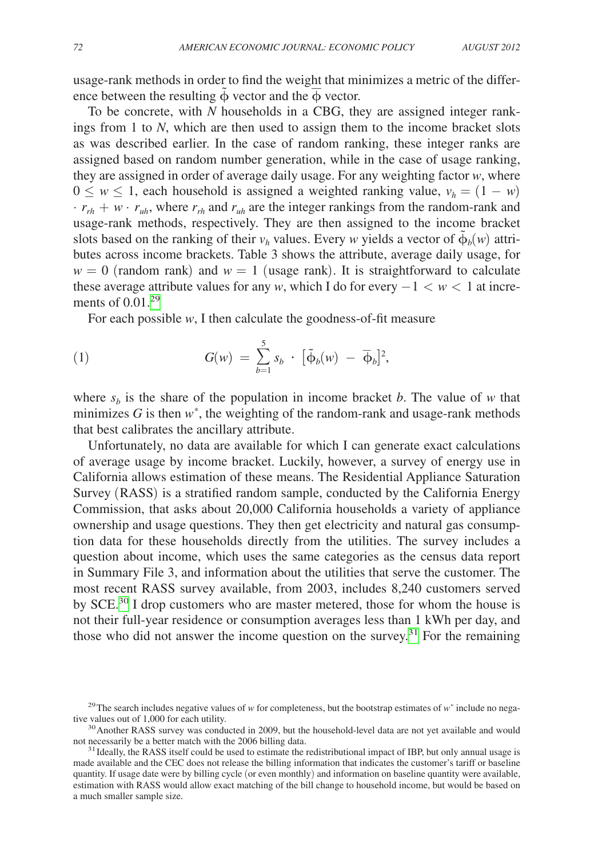usage-rank methods in order to find the weight that minimizes a metric of the differusage-rank methods in order to find the weight that mindle pole between the resulting  $\tilde{\phi}$  vector and the  $\phi$  vector.

To be concrete, with *N* households in a CBG, they are assigned integer rankings from 1 to *N*, which are then used to assign them to the income bracket slots as was described earlier. In the case of random ranking, these integer ranks are assigned based on random number generation, while in the case of usage ranking, they are assigned in order of average daily usage. For any weighting factor *w*, where  $0 \leq w \leq 1$ , each household is assigned a weighted ranking value,  $v_h = (1 - w)$  $r_{rh} + w \cdot r_{uh}$ , where  $r_{rh}$  and  $r_{uh}$  are the integer rankings from the random-rank and usage-rank methods, respectively. They are then assigned to the income bracket slots based on the ranking of their  $v_h$  values. Every *w* yields a vector of  $\phi_h(w)$  attributes across income brackets. Table 3 shows the attribute, average daily usage, for  $w = 0$  (random rank) and  $w = 1$  (usage rank). It is straightforward to calculate these average attribute values for any *w*, which I do for every  $-1 < w < 1$  at increments of  $0.01<sup>29</sup>$  $0.01<sup>29</sup>$  $0.01<sup>29</sup>$ 

For each possible *w*, I then calculate the goodness-of-fit measure

(1) 
$$
G(w) = \sum_{b=1}^{5} s_b \cdot [\tilde{\Phi}_b(w) - \overline{\Phi}_b]^2,
$$

where  $s_b$  is the share of the population in income bracket *b*. The value of *w* that minimizes  $G$  is then  $w^*$ , the weighting of the random-rank and usage-rank methods that best calibrates the ancillary attribute.

Unfortunately, no data are available for which I can generate exact calculations of average usage by income bracket. Luckily, however, a survey of energy use in California allows estimation of these means. The Residential Appliance Saturation Survey (RASS) is a stratified random sample, conducted by the California Energy Commission, that asks about 20,000 California households a variety of appliance ownership and usage questions. They then get electricity and natural gas consumption data for these households directly from the utilities. The survey includes a question about income, which uses the same categories as the census data report in Summary File 3, and information about the utilities that serve the customer. The most recent RASS survey available, from 2003, includes 8,240 customers served by SCE.[30](#page-16-1) I drop customers who are master metered, those for whom the house is not their full-year residence or consumption averages less than 1 kWh per day, and those who did not answer the income question on the survey. $31$  For the remaining

<span id="page-16-0"></span><sup>&</sup>lt;sup>29</sup>The search includes negative values of *w* for completeness, but the bootstrap estimates of  $w^*$  include no negative values out of 1,000 for each utility.

<span id="page-16-1"></span> $30$  Another RASS survey was conducted in 2009, but the household-level data are not yet available and would not necessarily be a better match with the 2006 billing data.

<span id="page-16-2"></span> $31$  Ideally, the RASS itself could be used to estimate the redistributional impact of IBP, but only annual usage is made available and the CEC does not release the billing information that indicates the customer's tariff or baseline quantity. If usage date were by billing cycle (or even monthly) and information on baseline quantity were available, estimation with RASS would allow exact matching of the bill change to household income, but would be based on a much smaller sample size.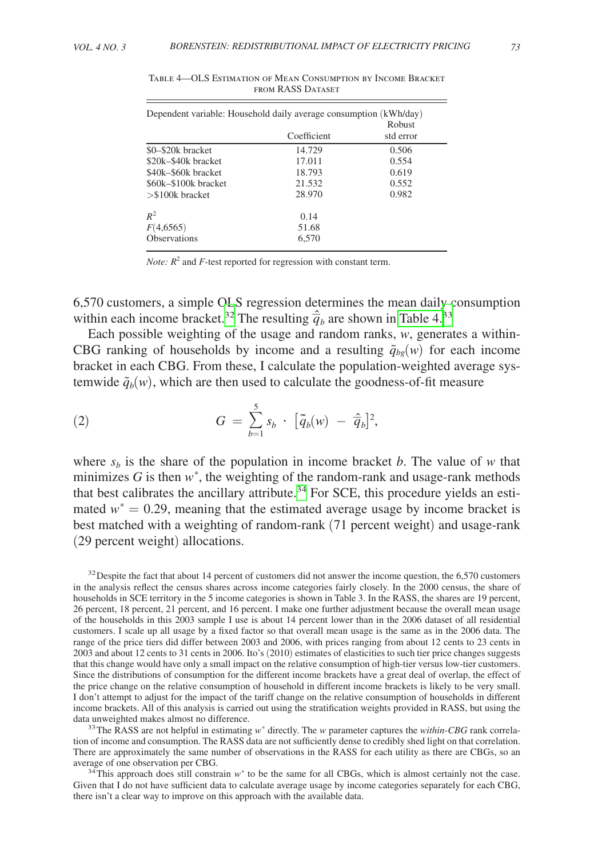| Dependent variable: Household daily average consumption (kWh/day) |             |                            |  |  |  |  |  |  |  |  |
|-------------------------------------------------------------------|-------------|----------------------------|--|--|--|--|--|--|--|--|
|                                                                   | Coefficient | <b>Robust</b><br>std error |  |  |  |  |  |  |  |  |
| \$0-\$20k bracket                                                 | 14.729      | 0.506                      |  |  |  |  |  |  |  |  |
| \$20k-\$40k bracket                                               | 17.011      | 0.554                      |  |  |  |  |  |  |  |  |
| \$40k-\$60k bracket                                               | 18.793      | 0.619                      |  |  |  |  |  |  |  |  |
| \$60k-\$100k bracket                                              | 21.532      | 0.552                      |  |  |  |  |  |  |  |  |
| $>$ \$100 $k$ bracket                                             | 28.970      | 0.982                      |  |  |  |  |  |  |  |  |
| $R^2$                                                             | 0.14        |                            |  |  |  |  |  |  |  |  |
| F(4,6565)                                                         | 51.68       |                            |  |  |  |  |  |  |  |  |
| <b>Observations</b>                                               | 6,570       |                            |  |  |  |  |  |  |  |  |

Table 4—OLS Estimation of Mean Consumption by Income Bracket FROM RASS DATASET

*Note:*  $R^2$  and  $F$ -test reported for regression with constant term.

6,570 customers, a simple OLS regression determines the mean daily consumption within each income bracket.<sup>[32](#page-17-0)</sup> The resulting  $\hat{\overline{q}}_b$  are shown in Table 4.<sup>33</sup>

Each possible weighting of the usage and random ranks, *w*, generates a within-CBG ranking of households by income and a resulting  $\tilde{q}_{bg}(w)$  for each income bracket in each CBG. From these, I calculate the population-weighted average systemwide  $\tilde{q}_b(w)$ , which are then used to calculate the goodness-of-fit measure

(2) 
$$
G = \sum_{b=1}^{5} s_b \cdot [\tilde{q}_b(w) - \hat{q}_b]^2,
$$

where  $s<sub>b</sub>$  is the share of the population in income bracket *b*. The value of *w* that minimizes  $G$  is then  $w^*$ , the weighting of the random-rank and usage-rank methods that best calibrates the ancillary attribute.<sup>[34](#page-17-2)</sup> For SCE, this procedure yields an estimated  $w^* = 0.29$ , meaning that the estimated average usage by income bracket is best matched with a weighting of random-rank (71 percent weight) and usage-rank (29 percent weight) allocations.

<span id="page-17-0"></span> $32$  Despite the fact that about 14 percent of customers did not answer the income question, the 6,570 customers in the analysis reflect the census shares across income categories fairly closely. In the 2000 census, the share of households in SCE territory in the 5 income categories is shown in Table 3. In the RASS, the shares are 19 percent, 26 percent, 18 percent, 21 percent, and 16 percent. I make one further adjustment because the overall mean usage of the households in this 2003 sample I use is about 14 percent lower than in the 2006 dataset of all residential customers. I scale up all usage by a fixed factor so that overall mean usage is the same as in the 2006 data. The range of the price tiers did differ between 2003 and 2006, with prices ranging from about 12 cents to 23 cents in 2003 and about 12 cents to 31 cents in 2006. Ito's (2010) estimates of elasticities to such tier price changes suggests that this change would have only a small impact on the relative consumption of high-tier versus low-tier customers. Since the distributions of consumption for the different income brackets have a great deal of overlap, the effect of the price change on the relative consumption of household in different income brackets is likely to be very small. I don't attempt to adjust for the impact of the tariff change on the relative consumption of households in different income brackets. All of this analysis is carried out using the stratification weights provided in RASS, but using the

<span id="page-17-1"></span>data unweighted makes almost no difference. 33The RASS are not helpful in estimating *w*\* directly. The *w* parameter captures the *within-CBG* rank correlation of income and consumption. The RASS data are not sufficiently dense to credibly shed light on that correlation. There are approximately the same number of observations in the RASS for each utility as there are CBGs, so an average of one observation per CBG.<br><sup>34</sup>This approach does still constrain *w*<sup>\*</sup> to be the same for all CBGs, which is almost certainly not the case.

<span id="page-17-2"></span>Given that I do not have sufficient data to calculate average usage by income categories separately for each CBG, there isn't a clear way to improve on this approach with the available data.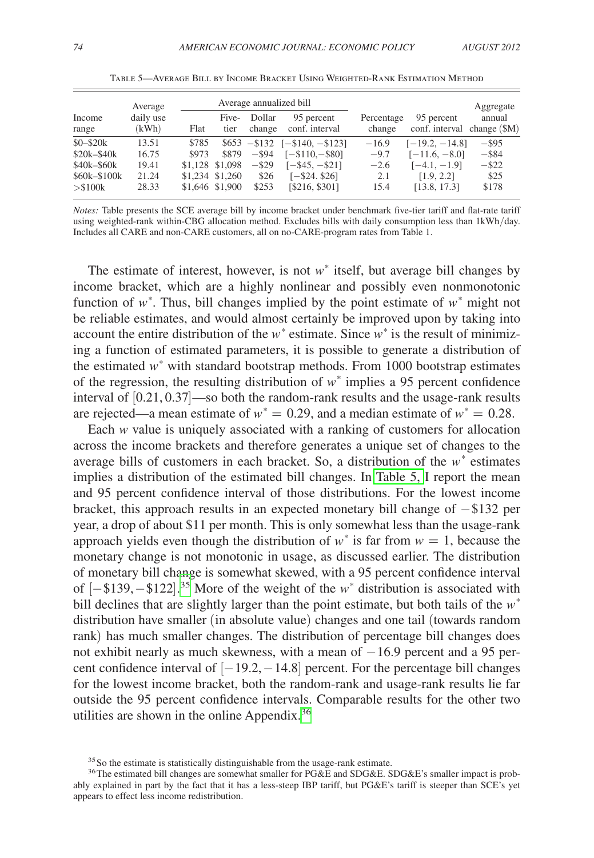|                 | Average            |       |                 | Average annualized bill |                                |                      |                                           | Aggregate |
|-----------------|--------------------|-------|-----------------|-------------------------|--------------------------------|----------------------|-------------------------------------------|-----------|
| Income<br>range | daily use<br>(kWh) | Flat  | Five-<br>tier   | Dollar<br>change        | 95 percent<br>conf. interval   | Percentage<br>change | 95 percent<br>conf. interval change (\$M) | annual    |
| $$0 - $20k$     | 13.51              | \$785 |                 |                         | $$653 - $132$ [-\$140, -\$123] | $-16.9$              | $[-19.2, -14.8]$                          | $-$ \$95  |
| $$20k - $40k$   | 16.75              | \$973 | \$879           | $-$ \$94                | $[-\$110, -\$80]$              | $-9.7$               | $[-11.6, -8.0]$                           | $-$ \$84  |
| \$40k-\$60k     | 19.41              |       | \$1,128 \$1,098 | $-$ \$29                | $[-\$45, -\$21]$               | $-2.6$               | $[-4.1, -1.9]$                            | $-$ \$22  |
| \$60k-\$100k    | 21.24              |       | \$1,234 \$1,260 | \$26                    | $[-\$24, \$26]$                | 2.1                  | [1.9, 2.2]                                | \$25      |
| $>$ \$100 $k$   | 28.33              |       | \$1,646 \$1,900 | \$253                   | [\$216, \$301]                 | 15.4                 | [13.8, 17.3]                              | \$178     |

Table 5—Average Bill by Income Bracket Using Weighted-Rank Estimation Method

*Notes:* Table presents the SCE average bill by income bracket under benchmark five-tier tariff and flat-rate tariff using weighted-rank within-CBG allocation method. Excludes bills with daily consumption less than 1kWh/day. Includes all CARE and non-CARE customers, all on no-CARE-program rates from Table 1.

The estimate of interest, however, is not  $w^*$  itself, but average bill changes by income bracket, which are a highly nonlinear and possibly even nonmonotonic function of  $w^*$ . Thus, bill changes implied by the point estimate of  $w^*$  might not be reliable estimates, and would almost certainly be improved upon by taking into account the entire distribution of the  $w^*$  estimate. Since  $w^*$  is the result of minimizing a function of estimated parameters, it is possible to generate a distribution of the estimated  $w^*$  with standard bootstrap methods. From 1000 bootstrap estimates of the regression, the resulting distribution of  $w^*$  implies a 95 percent confidence interval of [0.21, 0.37]—so both the random-rank results and the usage-rank results are rejected—a mean estimate of  $w^* = 0.29$ , and a median estimate of  $w^* = 0.28$ .

Each *w* value is uniquely associated with a ranking of customers for allocation across the income brackets and therefore generates a unique set of changes to the average bills of customers in each bracket. So, a distribution of the *w*\* estimates implies a distribution of the estimated bill changes. In Table 5, I report the mean and 95 percent confidence interval of those distributions. For the lowest income bracket, this approach results in an expected monetary bill change of −\$132 per year, a drop of about \$11 per month. This is only somewhat less than the usage-rank approach yields even though the distribution of  $w^*$  is far from  $w = 1$ , because the monetary change is not monotonic in usage, as discussed earlier. The distribution of monetary bill change is somewhat skewed, with a 95 percent confidence interval of  $[-\$139, -\$122]$ .<sup>35</sup> More of the weight of the *w*<sup>\*</sup> distribution is associated with bill declines that are slightly larger than the point estimate, but both tails of the *w*\* distribution have smaller (in absolute value) changes and one tail (towards random rank) has much smaller changes. The distribution of percentage bill changes does not exhibit nearly as much skewness, with a mean of −16.9 percent and a 95 percent confidence interval of  $[-19.2, -14.8]$  percent. For the percentage bill changes for the lowest income bracket, both the random-rank and usage-rank results lie far outside the 95 percent confidence intervals. Comparable results for the other two utilities are shown in the online Appendix.<sup>[36](#page-18-1)</sup>

<span id="page-18-1"></span><span id="page-18-0"></span>

<sup>&</sup>lt;sup>35</sup>So the estimate is statistically distinguishable from the usage-rank estimate.<br><sup>36</sup>The estimated bill changes are somewhat smaller for PG&E and SDG&E. SDG&E's smaller impact is probably explained in part by the fact that it has a less-steep IBP tariff, but PG&E's tariff is steeper than SCE's yet appears to effect less income redistribution.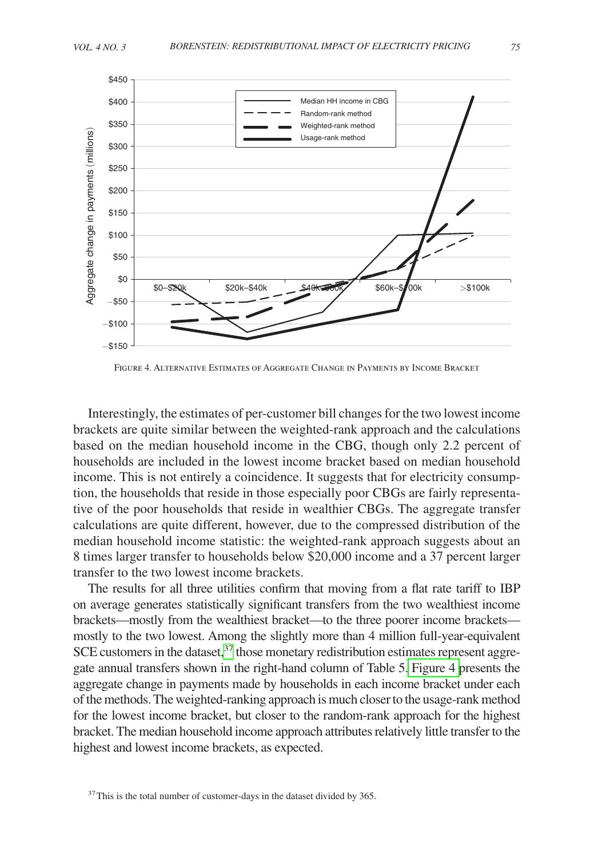

Figure 4. Alternative Estimates of Aggregate Change in Payments by Income Bracket

Interestingly, the estimates of per-customer bill changes for the two lowest income brackets are quite similar between the weighted-rank approach and the calculations based on the median household income in the CBG, though only 2.2 percent of households are included in the lowest income bracket based on median household income. This is not entirely a coincidence. It suggests that for electricity consumption, the households that reside in those especially poor CBGs are fairly representative of the poor households that reside in wealthier CBGs. The aggregate transfer calculations are quite different, however, due to the compressed distribution of the median household income statistic: the weighted-rank approach suggests about an 8 times larger transfer to households below \$20,000 income and a 37 percent larger transfer to the two lowest income brackets.

The results for all three utilities confirm that moving from a flat rate tariff to IBP on average generates statistically significant transfers from the two wealthiest income brackets—mostly from the wealthiest bracket—to the three poorer income brackets mostly to the two lowest. Among the slightly more than 4 million full-year-equivalent SCE customers in the dataset, $37$  those monetary redistribution estimates represent aggregate annual transfers shown in the right-hand column of Table 5. Figure 4 presents the aggregate change in payments made by households in each income bracket under each of the methods. The weighted-ranking approach is much closer to the usage-rank method for the lowest income bracket, but closer to the random-rank approach for the highest bracket. The median household income approach attributes relatively little transfer to the highest and lowest income brackets, as expected.

<span id="page-19-0"></span> $37$ This is the total number of customer-days in the dataset divided by 365.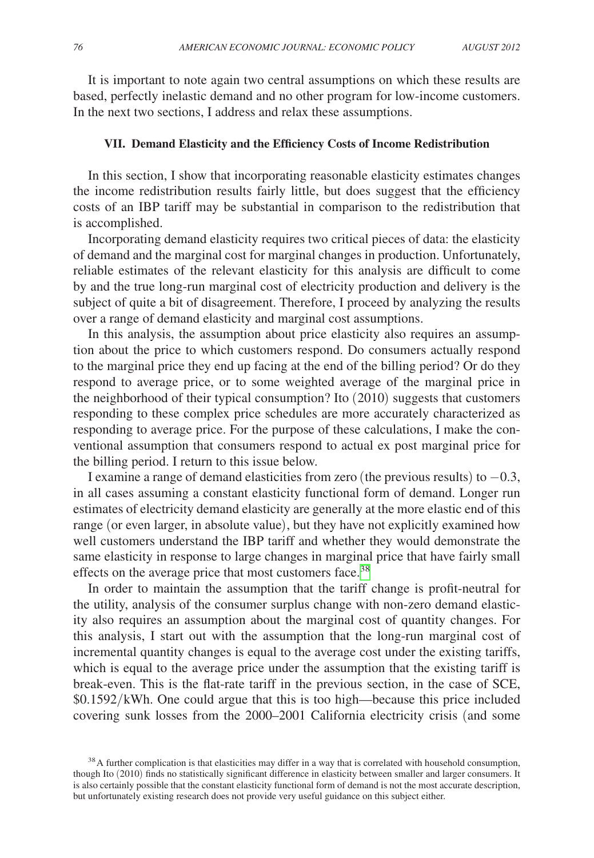<span id="page-20-0"></span>It is important to note again two central assumptions on which these results are based, perfectly inelastic demand and no other program for low-income customers. In the next two sections, I address and relax these assumptions.

#### **VII. Demand Elasticity and the Efficiency Costs of Income Redistribution**

In this section, I show that incorporating reasonable elasticity estimates changes the income redistribution results fairly little, but does suggest that the efficiency costs of an IBP tariff may be substantial in comparison to the redistribution that is accomplished.

Incorporating demand elasticity requires two critical pieces of data: the elasticity of demand and the marginal cost for marginal changes in production. Unfortunately, reliable estimates of the relevant elasticity for this analysis are difficult to come by and the true long-run marginal cost of electricity production and delivery is the subject of quite a bit of disagreement. Therefore, I proceed by analyzing the results over a range of demand elasticity and marginal cost assumptions.

In this analysis, the assumption about price elasticity also requires an assumption about the price to which customers respond. Do consumers actually respond to the marginal price they end up facing at the end of the billing period? Or do they respond to average price, or to some weighted average of the marginal price in the neighborhood of their typical consumption? Ito (2010) suggests that customers responding to these complex price schedules are more accurately characterized as responding to average price. For the purpose of these calculations, I make the conventional assumption that consumers respond to actual ex post marginal price for the billing period. I return to this issue below.

I examine a range of demand elasticities from zero (the previous results) to −0.3, in all cases assuming a constant elasticity functional form of demand. Longer run estimates of electricity demand elasticity are generally at the more elastic end of this range (or even larger, in absolute value), but they have not explicitly examined how well customers understand the IBP tariff and whether they would demonstrate the same elasticity in response to large changes in marginal price that have fairly small effects on the average price that most customers face.<sup>[38](#page-20-1)</sup>

In order to maintain the assumption that the tariff change is profit-neutral for the utility, analysis of the consumer surplus change with non-zero demand elasticity also requires an assumption about the marginal cost of quantity changes. For this analysis, I start out with the assumption that the long-run marginal cost of incremental quantity changes is equal to the average cost under the existing tariffs, which is equal to the average price under the assumption that the existing tariff is break-even. This is the flat-rate tariff in the previous section, in the case of SCE, \$0.1592/kWh. One could argue that this is too high—because this price included covering sunk losses from the 2000–2001 California electricity crisis (and some

<span id="page-20-1"></span><sup>&</sup>lt;sup>38</sup>A further complication is that elasticities may differ in a way that is correlated with household consumption, though Ito (2010) finds no statistically significant difference in elasticity between smaller and larger consumers. It is also certainly possible that the constant elasticity functional form of demand is not the most accurate description, but unfortunately existing research does not provide very useful guidance on this subject either.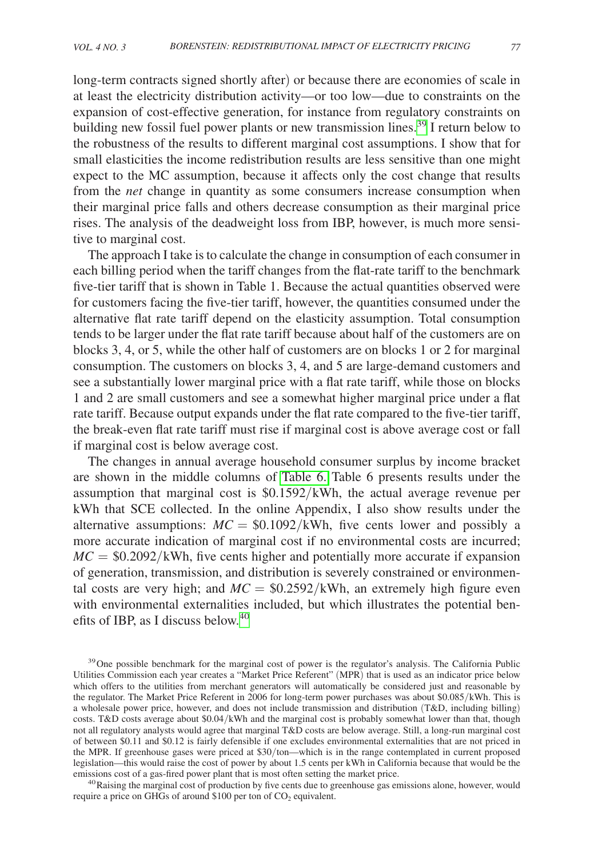long-term contracts signed shortly after) or because there are economies of scale in at least the electricity distribution activity—or too low—due to constraints on the expansion of cost-effective generation, for instance from regulatory constraints on building new fossil fuel power plants or new transmission lines.<sup>39</sup> I return below to the robustness of the results to different marginal cost assumptions. I show that for small elasticities the income redistribution results are less sensitive than one might expect to the MC assumption, because it affects only the cost change that results from the *net* change in quantity as some consumers increase consumption when their marginal price falls and others decrease consumption as their marginal price rises. The analysis of the deadweight loss from IBP, however, is much more sensitive to marginal cost.

The approach I take is to calculate the change in consumption of each consumer in each billing period when the tariff changes from the flat-rate tariff to the benchmark five-tier tariff that is shown in Table 1. Because the actual quantities observed were for customers facing the five-tier tariff, however, the quantities consumed under the alternative flat rate tariff depend on the elasticity assumption. Total consumption tends to be larger under the flat rate tariff because about half of the customers are on blocks 3, 4, or 5, while the other half of customers are on blocks 1 or 2 for marginal consumption. The customers on blocks 3, 4, and 5 are large-demand customers and see a substantially lower marginal price with a flat rate tariff, while those on blocks 1 and 2 are small customers and see a somewhat higher marginal price under a flat rate tariff. Because output expands under the flat rate compared to the five-tier tariff, the break-even flat rate tariff must rise if marginal cost is above average cost or fall if marginal cost is below average cost.

The changes in annual average household consumer surplus by income bracket are shown in the middle columns of [Table 6.](#page-22-0) Table 6 presents results under the assumption that marginal cost is \$0.1592/kWh, the actual average revenue per kWh that SCE collected. In the online Appendix, I also show results under the alternative assumptions:  $MC = \frac{60.1092}{kWh}$ , five cents lower and possibly a more accurate indication of marginal cost if no environmental costs are incurred;  $MC = \frac{$0.2092}{kWh}$ , five cents higher and potentially more accurate if expansion of generation, transmission, and distribution is severely constrained or environmental costs are very high; and  $MC = \frac{$0.2592}{kWh}$ , an extremely high figure even with environmental externalities included, but which illustrates the potential ben-efits of IBP, as I discuss below.<sup>[40](#page-21-1)</sup>

<span id="page-21-1"></span>require a price on GHGs of around \$100 per ton of  $CO<sub>2</sub>$  equivalent.

<span id="page-21-0"></span><sup>&</sup>lt;sup>39</sup>One possible benchmark for the marginal cost of power is the regulator's analysis. The California Public Utilities Commission each year creates a "Market Price Referent" (MPR) that is used as an indicator price below which offers to the utilities from merchant generators will automatically be considered just and reasonable by the regulator. The Market Price Referent in 2006 for long-term power purchases was about \$0.085/kWh. This is a wholesale power price, however, and does not include transmission and distribution (T&D, including billing) costs. T&D costs average about \$0.04/kWh and the marginal cost is probably somewhat lower than that, though not all regulatory analysts would agree that marginal T&D costs are below average. Still, a long-run marginal cost of between \$0.11 and \$0.12 is fairly defensible if one excludes environmental externalities that are not priced in the MPR. If greenhouse gases were priced at \$30/ton—which is in the range contemplated in current proposed legislation—this would raise the cost of power by about 1.5 cents per kWh in California because that would be the emissions cost of a gas-fired power plant that is most often setting the market price.<br><sup>40</sup>Raising the marginal cost of production by five cents due to greenhouse gas emissions alone, however, would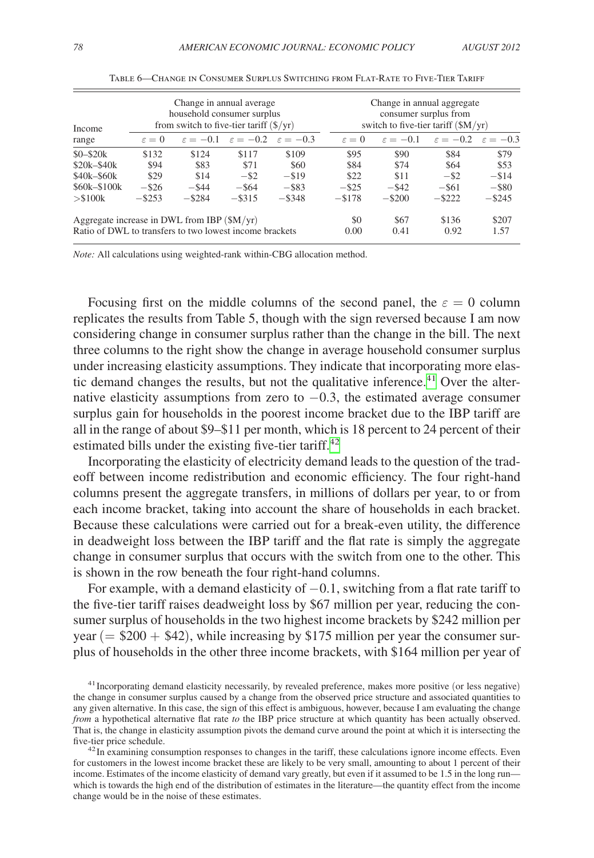<span id="page-22-0"></span>

| Income                                                                                                         |                   | Change in annual average<br>household consumer surplus<br>from switch to five-tier tariff $(\frac{5}{yr})$ |                                                                |           |           | Change in annual aggregate<br>consumer surplus from<br>switch to five-tier tariff $(SM/yr)$ |                      |                                           |               |
|----------------------------------------------------------------------------------------------------------------|-------------------|------------------------------------------------------------------------------------------------------------|----------------------------------------------------------------|-----------|-----------|---------------------------------------------------------------------------------------------|----------------------|-------------------------------------------|---------------|
| range                                                                                                          | $\varepsilon = 0$ |                                                                                                            | $\varepsilon = -0.1$ $\varepsilon = -0.2$ $\varepsilon = -0.3$ |           |           | $\varepsilon = 0$                                                                           | $\varepsilon = -0.1$ | $\varepsilon = -0.2$ $\varepsilon = -0.3$ |               |
| $$0-$20k$                                                                                                      | \$132             | \$124                                                                                                      | \$117                                                          | \$109     |           | \$95                                                                                        | \$90                 | \$84                                      | \$79          |
| $$20k - $40k$                                                                                                  | \$94              | \$83                                                                                                       | \$71                                                           | \$60      |           | \$84                                                                                        | \$74                 | \$64                                      | \$53          |
| \$40k-\$60k                                                                                                    | \$29              | \$14                                                                                                       | $-$ \$2                                                        | $-519$    |           | \$22                                                                                        | \$11                 | $-$ \$2                                   | $-$ \$14      |
| \$60k-\$100k                                                                                                   | $-$ \$26          | $-$ \$44                                                                                                   | $-$ \$64                                                       | $-$ \$83  |           | $-$ \$25                                                                                    | $-$ \$42             | $-$ \$61                                  | $-$ \$80      |
| $>$ \$100 $k$                                                                                                  | $-$ \$253         | $-$ \$284                                                                                                  | $-$ \$315                                                      | $-$ \$348 | $-$ \$178 |                                                                                             | $-$ \$200            | $-$ \$222                                 | $-$ \$245     |
| Aggregate increase in DWL from IBP $(\frac{M}{yr})$<br>Ratio of DWL to transfers to two lowest income brackets |                   |                                                                                                            |                                                                |           |           | \$0<br>0.00                                                                                 | \$67<br>0.41         | \$136<br>0.92                             | \$207<br>1.57 |

Table 6—Change in Consumer Surplus Switching from Flat-Rate to Five-Tier Tariff

*Note:* All calculations using weighted-rank within-CBG allocation method.

Focusing first on the middle columns of the second panel, the  $\varepsilon = 0$  column replicates the results from Table 5, though with the sign reversed because I am now considering change in consumer surplus rather than the change in the bill. The next three columns to the right show the change in average household consumer surplus under increasing elasticity assumptions. They indicate that incorporating more elas-tic demand changes the results, but not the qualitative inference.<sup>[41](#page-22-1)</sup> Over the alternative elasticity assumptions from zero to −0.3, the estimated average consumer surplus gain for households in the poorest income bracket due to the IBP tariff are all in the range of about \$9–\$11 per month, which is 18 percent to 24 percent of their estimated bills under the existing five-tier tariff.<sup>[42](#page-22-2)</sup>

Incorporating the elasticity of electricity demand leads to the question of the tradeoff between income redistribution and economic efficiency. The four right-hand columns present the aggregate transfers, in millions of dollars per year, to or from each income bracket, taking into account the share of households in each bracket. Because these calculations were carried out for a break-even utility, the difference in deadweight loss between the IBP tariff and the flat rate is simply the aggregate change in consumer surplus that occurs with the switch from one to the other. This is shown in the row beneath the four right-hand columns.

For example, with a demand elasticity of  $-0.1$ , switching from a flat rate tariff to the five-tier tariff raises deadweight loss by \$67 million per year, reducing the consumer surplus of households in the two highest income brackets by \$242 million per year ( $=$  \$200  $+$  \$42), while increasing by \$175 million per year the consumer surplus of households in the other three income brackets, with \$164 million per year of

<span id="page-22-1"></span><sup>&</sup>lt;sup>41</sup> Incorporating demand elasticity necessarily, by revealed preference, makes more positive (or less negative) the change in consumer surplus caused by a change from the observed price structure and associated quantities to any given alternative. In this case, the sign of this effect is ambiguous, however, because I am evaluating the change *from* a hypothetical alternative flat rate *to* the IBP price structure at which quantity has been actually observed. That is, the change in elasticity assumption pivots the demand curve around the point at which it is intersecting the five-tier price schedule.<br><sup>42</sup>In examining consumption responses to changes in the tariff, these calculations ignore income effects. Even

<span id="page-22-2"></span>for customers in the lowest income bracket these are likely to be very small, amounting to about 1 percent of their income. Estimates of the income elasticity of demand vary greatly, but even if it assumed to be 1.5 in the long run which is towards the high end of the distribution of estimates in the literature—the quantity effect from the income change would be in the noise of these estimates.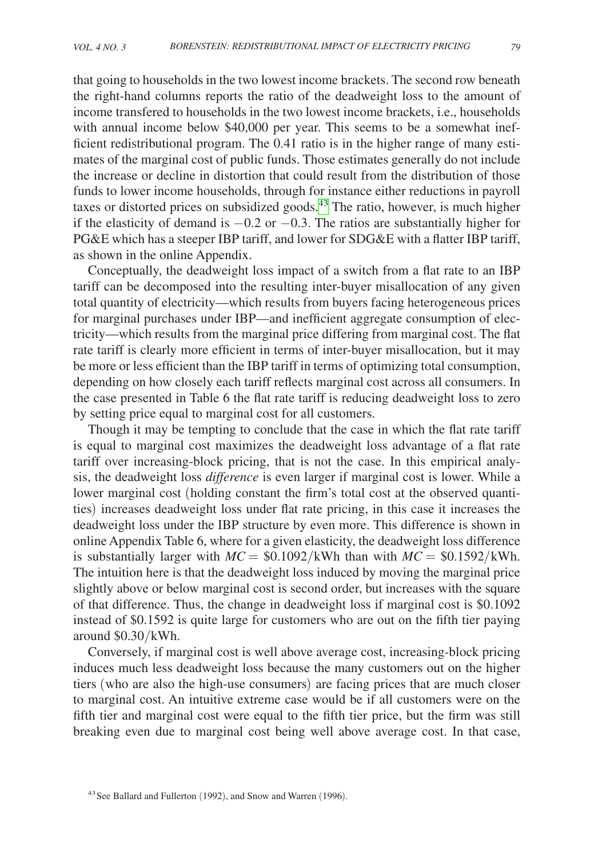that going to households in the two lowest income brackets. The second row beneath the right-hand columns reports the ratio of the deadweight loss to the amount of income transfered to households in the two lowest income brackets, i.e., households with annual income below \$40,000 per year. This seems to be a somewhat inefficient redistributional program. The 0.41 ratio is in the higher range of many estimates of the marginal cost of public funds. Those estimates generally do not include the increase or decline in distortion that could result from the distribution of those funds to lower income households, through for instance either reductions in payroll taxes or distorted prices on subsidized goods.<sup>43</sup> The ratio, however, is much higher if the elasticity of demand is −0.2 or −0.3. The ratios are substantially higher for PG&E which has a steeper IBP tariff, and lower for SDG&E with a flatter IBP tariff, as shown in the online Appendix.

Conceptually, the deadweight loss impact of a switch from a flat rate to an IBP tariff can be decomposed into the resulting inter-buyer misallocation of any given total quantity of electricity—which results from buyers facing heterogeneous prices for marginal purchases under IBP—and inefficient aggregate consumption of electricity—which results from the marginal price differing from marginal cost. The flat rate tariff is clearly more efficient in terms of inter-buyer misallocation, but it may be more or less efficient than the IBP tariff in terms of optimizing total consumption, depending on how closely each tariff reflects marginal cost across all consumers. In the case presented in Table 6 the flat rate tariff is reducing deadweight loss to zero by setting price equal to marginal cost for all customers.

Though it may be tempting to conclude that the case in which the flat rate tariff is equal to marginal cost maximizes the deadweight loss advantage of a flat rate tariff over increasing-block pricing, that is not the case. In this empirical analysis, the deadweight loss *difference* is even larger if marginal cost is lower. While a lower marginal cost (holding constant the firm's total cost at the observed quantities) increases deadweight loss under flat rate pricing, in this case it increases the deadweight loss under the IBP structure by even more. This difference is shown in online Appendix Table 6, where for a given elasticity, the deadweight loss difference is substantially larger with  $MC = \frac{$0.1092}{kWh}$  than with  $MC = \frac{$0.1592}{kWh}$ . The intuition here is that the deadweight loss induced by moving the marginal price slightly above or below marginal cost is second order, but increases with the square of that difference. Thus, the change in deadweight loss if marginal cost is \$0.1092 instead of \$0.1592 is quite large for customers who are out on the fifth tier paying around \$0.30/kWh.

Conversely, if marginal cost is well above average cost, increasing-block pricing induces much less deadweight loss because the many customers out on the higher tiers (who are also the high-use consumers) are facing prices that are much closer to marginal cost. An intuitive extreme case would be if all customers were on the fifth tier and marginal cost were equal to the fifth tier price, but the firm was still breaking even due to marginal cost being well above average cost. In that case,

<span id="page-23-0"></span><sup>&</sup>lt;sup>43</sup> See Ballard and Fullerton (1992), and Snow and Warren (1996).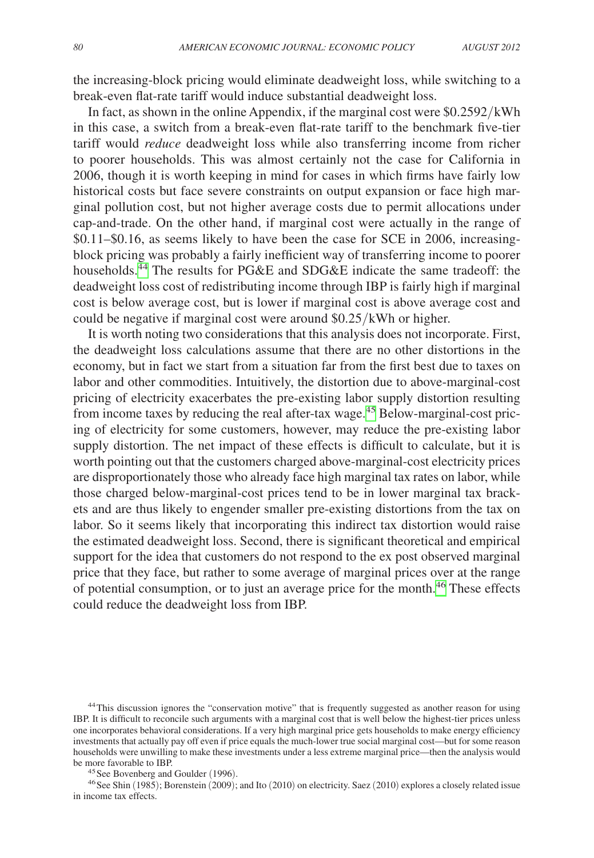the increasing-block pricing would eliminate deadweight loss, while switching to a break-even flat-rate tariff would induce substantial deadweight loss.

In fact, as shown in the online Appendix, if the marginal cost were \$0.2592/kWh in this case, a switch from a break-even flat-rate tariff to the benchmark five-tier tariff would *reduce* deadweight loss while also transferring income from richer to poorer households. This was almost certainly not the case for California in 2006, though it is worth keeping in mind for cases in which firms have fairly low historical costs but face severe constraints on output expansion or face high marginal pollution cost, but not higher average costs due to permit allocations under cap-and-trade. On the other hand, if marginal cost were actually in the range of \$0.11–\$0.16, as seems likely to have been the case for SCE in 2006, increasingblock pricing was probably a fairly inefficient way of transferring income to poorer households.<sup>[44](#page-24-0)</sup> The results for PG&E and SDG&E indicate the same tradeoff: the deadweight loss cost of redistributing income through IBP is fairly high if marginal cost is below average cost, but is lower if marginal cost is above average cost and could be negative if marginal cost were around \$0.25/kWh or higher.

It is worth noting two considerations that this analysis does not incorporate. First, the deadweight loss calculations assume that there are no other distortions in the economy, but in fact we start from a situation far from the first best due to taxes on labor and other commodities. Intuitively, the distortion due to above-marginal-cost pricing of electricity exacerbates the pre-existing labor supply distortion resulting from income taxes by reducing the real after-tax wage.[45](#page-24-1) Below-marginal-cost pricing of electricity for some customers, however, may reduce the pre-existing labor supply distortion. The net impact of these effects is difficult to calculate, but it is worth pointing out that the customers charged above-marginal-cost electricity prices are disproportionately those who already face high marginal tax rates on labor, while those charged below-marginal-cost prices tend to be in lower marginal tax brackets and are thus likely to engender smaller pre-existing distortions from the tax on labor. So it seems likely that incorporating this indirect tax distortion would raise the estimated deadweight loss. Second, there is significant theoretical and empirical support for the idea that customers do not respond to the ex post observed marginal price that they face, but rather to some average of marginal prices over at the range of potential consumption, or to just an average price for the month.[46](#page-24-2) These effects could reduce the deadweight loss from IBP.

<span id="page-24-2"></span><span id="page-24-1"></span>

in income tax effects.

<span id="page-24-0"></span><sup>&</sup>lt;sup>44</sup>This discussion ignores the "conservation motive" that is frequently suggested as another reason for using IBP. It is difficult to reconcile such arguments with a marginal cost that is well below the highest-tier prices unless one incorporates behavioral considerations. If a very high marginal price gets households to make energy efficiency investments that actually pay off even if price equals the much-lower true social marginal cost—but for some reason households were unwilling to make these investments under a less extreme marginal price—then the analysis would be more favorable to IBP.<br><sup>45</sup>See Bovenberg and Goulder (1996).<br><sup>46</sup>See Shin (1985); Borenstein (2009); and Ito (2010) on electricity. Saez (2010) explores a closely related issue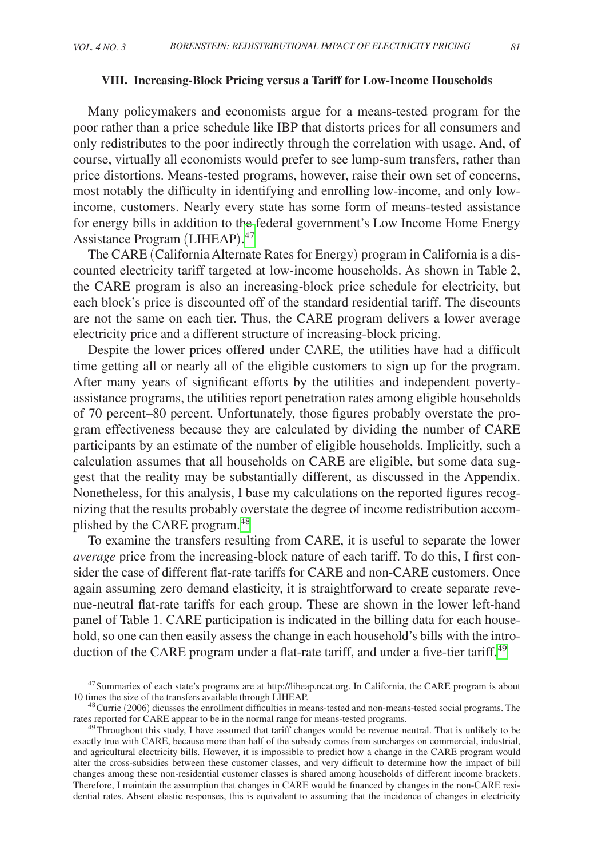#### <span id="page-25-0"></span>**VIII. Increasing-Block Pricing versus a Tariff for Low-Income Households**

Many policymakers and economists argue for a means-tested program for the poor rather than a price schedule like IBP that distorts prices for all consumers and only redistributes to the poor indirectly through the correlation with usage. And, of course, virtually all economists would prefer to see lump-sum transfers, rather than price distortions. Means-tested programs, however, raise their own set of concerns, most notably the difficulty in identifying and enrolling low-income, and only lowincome, customers. Nearly every state has some form of means-tested assistance for energy bills in addition to the federal government's Low Income Home Energy Assistance Program (LIHEAP). [47](#page-25-1)

The CARE (California Alternate Rates for Energy) program in California is a discounted electricity tariff targeted at low-income households. As shown in Table 2, the CARE program is also an increasing-block price schedule for electricity, but each block's price is discounted off of the standard residential tariff. The discounts are not the same on each tier. Thus, the CARE program delivers a lower average electricity price and a different structure of increasing-block pricing.

Despite the lower prices offered under CARE, the utilities have had a difficult time getting all or nearly all of the eligible customers to sign up for the program. After many years of significant efforts by the utilities and independent povertyassistance programs, the utilities report penetration rates among eligible households of 70 percent–80 percent. Unfortunately, those figures probably overstate the program effectiveness because they are calculated by dividing the number of CARE participants by an estimate of the number of eligible households. Implicitly, such a calculation assumes that all households on CARE are eligible, but some data suggest that the reality may be substantially different, as discussed in the Appendix. Nonetheless, for this analysis, I base my calculations on the reported figures recognizing that the results probably overstate the degree of income redistribution accom-plished by the CARE program.<sup>[48](#page-25-2)</sup>

To examine the transfers resulting from CARE, it is useful to separate the lower *average* price from the increasing-block nature of each tariff. To do this, I first consider the case of different flat-rate tariffs for CARE and non-CARE customers. Once again assuming zero demand elasticity, it is straightforward to create separate revenue-neutral flat-rate tariffs for each group. These are shown in the lower left-hand panel of Table 1. CARE participation is indicated in the billing data for each household, so one can then easily assess the change in each household's bills with the intro-duction of the CARE program under a flat-rate tariff, and under a five-tier tariff.<sup>[49](#page-25-3)</sup>

<span id="page-25-1"></span> $47$ Summaries of each state's programs are at http://liheap.ncat.org. In California, the CARE program is about 10 times the size of the transfers available through LIHEAP.

<span id="page-25-2"></span><sup>&</sup>lt;sup>48</sup> Currie (2006) dicusses the enrollment difficulties in means-tested and non-means-tested social programs. The rates reported for CARE appear to be in the normal range for means-tested programs.

<span id="page-25-3"></span> $49$ Throughout this study, I have assumed that tariff changes would be revenue neutral. That is unlikely to be exactly true with CARE, because more than half of the subsidy comes from surcharges on commercial, industrial, and agricultural electricity bills. However, it is impossible to predict how a change in the CARE program would alter the cross-subsidies between these customer classes, and very difficult to determine how the impact of bill changes among these non-residential customer classes is shared among households of different income brackets. Therefore, I maintain the assumption that changes in CARE would be financed by changes in the non-CARE residential rates. Absent elastic responses, this is equivalent to assuming that the incidence of changes in electricity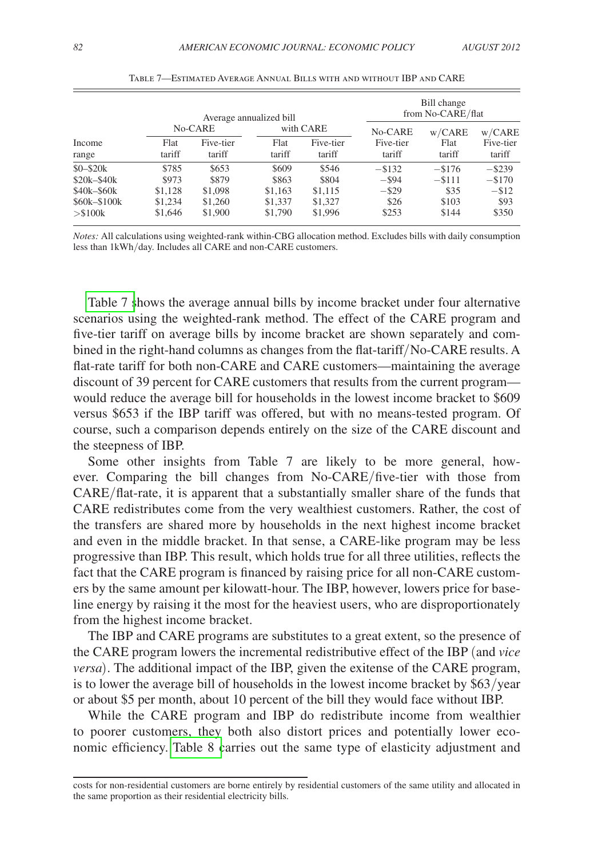|                 |                |                                | Average annualized bill | Bill change<br>from No-CARE/flat |                                |                          |                               |
|-----------------|----------------|--------------------------------|-------------------------|----------------------------------|--------------------------------|--------------------------|-------------------------------|
| Income<br>range | Flat<br>tariff | No-CARE<br>Five-tier<br>tariff | Flat<br>tariff          | with CARE<br>Five-tier<br>tariff | No-CARE<br>Five-tier<br>tariff | w/CARE<br>Flat<br>tariff | w/CARE<br>Five-tier<br>tariff |
| $$0 - $20k$     | \$785          | \$653                          | \$609                   | \$546                            | $-$ \$132                      | $-$ \$176                | $-$ \$239                     |
| $$20k - $40k$   | \$973          | \$879                          | \$863                   | \$804                            | $-$ \$94                       | $-111$                   | $-$ \$170                     |
| \$40k-\$60k     | \$1.128        | \$1,098                        | \$1.163                 | \$1,115                          | $-$ \$29                       | \$35                     | $-112$                        |
| \$60k-\$100k    | \$1,234        | \$1,260                        | \$1,337                 | \$1,327                          | \$26                           | \$103                    | \$93                          |
| $>$ \$100 $k$   | \$1,646        | \$1,900                        | \$1,790                 | \$1,996                          | \$253                          | \$144                    | \$350                         |

Table 7—Estimated Average Annual Bills with and without IBP and CARE

*Notes:* All calculations using weighted-rank within-CBG allocation method. Excludes bills with daily consumption less than 1kWh/day. Includes all CARE and non-CARE customers.

Table 7 shows the average annual bills by income bracket under four alternative scenarios using the weighted-rank method. The effect of the CARE program and five-tier tariff on average bills by income bracket are shown separately and combined in the right-hand columns as changes from the flat-tariff/No-CARE results. A flat-rate tariff for both non-CARE and CARE customers—maintaining the average discount of 39 percent for CARE customers that results from the current program would reduce the average bill for households in the lowest income bracket to \$609 versus \$653 if the IBP tariff was offered, but with no means-tested program. Of course, such a comparison depends entirely on the size of the CARE discount and the steepness of IBP.

Some other insights from Table 7 are likely to be more general, however. Comparing the bill changes from No-CARE/five-tier with those from CARE/flat-rate, it is apparent that a substantially smaller share of the funds that CARE redistributes come from the very wealthiest customers. Rather, the cost of the transfers are shared more by households in the next highest income bracket and even in the middle bracket. In that sense, a CARE-like program may be less progressive than IBP. This result, which holds true for all three utilities, reflects the fact that the CARE program is financed by raising price for all non-CARE customers by the same amount per kilowatt-hour. The IBP, however, lowers price for baseline energy by raising it the most for the heaviest users, who are disproportionately from the highest income bracket.

The IBP and CARE programs are substitutes to a great extent, so the presence of the CARE program lowers the incremental redistributive effect of the IBP (and *vice versa*). The additional impact of the IBP, given the exitense of the CARE program, is to lower the average bill of households in the lowest income bracket by \$63/year or about \$5 per month, about 10 percent of the bill they would face without IBP.

While the CARE program and IBP do redistribute income from wealthier to poorer customers, they both also distort prices and potentially lower economic efficiency. [Table 8 c](#page-27-0)arries out the same type of elasticity adjustment and

costs for non-residential customers are borne entirely by residential customers of the same utility and allocated in the same proportion as their residential electricity bills.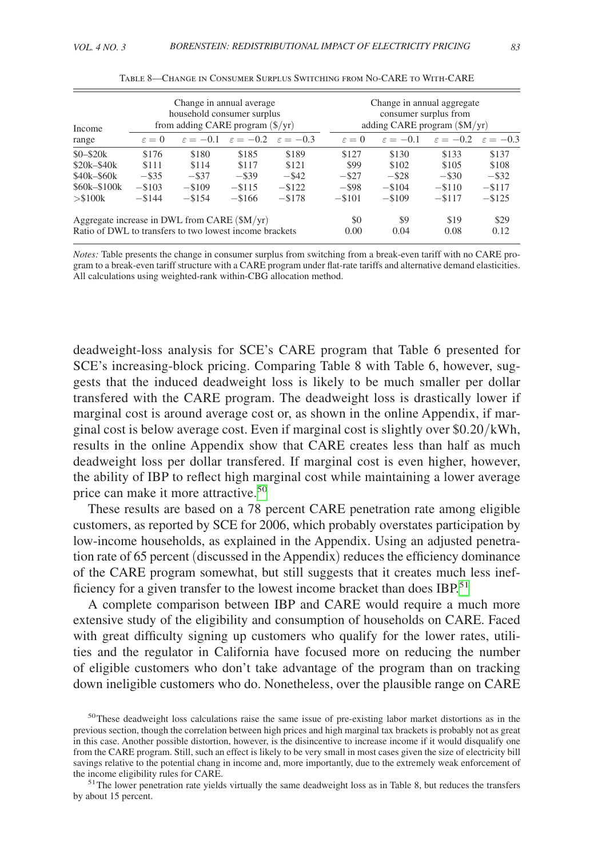<span id="page-27-0"></span>

| Income                                                                                                           |                   | Change in annual average<br>household consumer surplus<br>from adding CARE program $(\frac{5}{yr})$ |                                           |                      | Change in annual aggregate<br>consumer surplus from<br>adding CARE program $(\frac{M}{yr})$ |                      |                      |                      |
|------------------------------------------------------------------------------------------------------------------|-------------------|-----------------------------------------------------------------------------------------------------|-------------------------------------------|----------------------|---------------------------------------------------------------------------------------------|----------------------|----------------------|----------------------|
| range                                                                                                            | $\varepsilon = 0$ |                                                                                                     | $\varepsilon = -0.1$ $\varepsilon = -0.2$ | $\varepsilon = -0.3$ | $\varepsilon = 0$                                                                           | $\varepsilon = -0.1$ | $\varepsilon = -0.2$ | $\varepsilon = -0.3$ |
| $$0-$20k$                                                                                                        | \$176             | \$180                                                                                               | \$185                                     | \$189                | \$127                                                                                       | \$130                | \$133                | \$137                |
| $$20k - $40k$                                                                                                    | \$111             | \$114                                                                                               | \$117                                     | \$121                | \$99                                                                                        | \$102                | \$105                | \$108                |
| \$40k-\$60k                                                                                                      | $-$ \$35          | $-$ \$37                                                                                            | $-$ \$39                                  | $-$ \$42             | $-$ \$27                                                                                    | $-$ \$28             | $-$ \$30             | $-$ \$32             |
| \$60k-\$100k                                                                                                     | $-$ \$103         | $-$ \$109                                                                                           | $-$ \$115                                 | $-$122$              | $-$ \$98                                                                                    | $-$ \$104            | $-$ \$110            | $- $117$             |
| $>$ \$100 $k$                                                                                                    | $-$ \$144         | $-$ \$154                                                                                           | $-$ \$166                                 | $-$ \$178            | $-15101$                                                                                    | $-$ \$109            | $-$ \$117            | $-$ \$125            |
| Aggregate increase in DWL from CARE $(\frac{SM}{yr})$<br>Ratio of DWL to transfers to two lowest income brackets |                   |                                                                                                     |                                           |                      | \$0<br>0.00                                                                                 | \$9<br>0.04          | \$19<br>0.08         | \$29<br>0.12         |

| TABLE 8—CHANGE IN CONSUMER SURPLUS SWITCHING FROM NO-CARE TO WITH-CARE |  |  |
|------------------------------------------------------------------------|--|--|
|------------------------------------------------------------------------|--|--|

*Notes:* Table presents the change in consumer surplus from switching from a break-even tariff with no CARE program to a break-even tariff structure with a CARE program under flat-rate tariffs and alternative demand elasticities. All calculations using weighted-rank within-CBG allocation method.

deadweight-loss analysis for SCE's CARE program that Table 6 presented for SCE's increasing-block pricing. Comparing Table 8 with Table 6, however, suggests that the induced deadweight loss is likely to be much smaller per dollar transfered with the CARE program. The deadweight loss is drastically lower if marginal cost is around average cost or, as shown in the online Appendix, if marginal cost is below average cost. Even if marginal cost is slightly over \$0.20/kWh, results in the online Appendix show that CARE creates less than half as much deadweight loss per dollar transfered. If marginal cost is even higher, however, the ability of IBP to reflect high marginal cost while maintaining a lower average price can make it more attractive.<sup>[50](#page-27-1)</sup>

These results are based on a 78 percent CARE penetration rate among eligible customers, as reported by SCE for 2006, which probably overstates participation by low-income households, as explained in the Appendix. Using an adjusted penetration rate of 65 percent (discussed in the Appendix) reduces the efficiency dominance of the CARE program somewhat, but still suggests that it creates much less inef-ficiency for a given transfer to the lowest income bracket than does IBP.<sup>[51](#page-27-2)</sup>

A complete comparison between IBP and CARE would require a much more extensive study of the eligibility and consumption of households on CARE. Faced with great difficulty signing up customers who qualify for the lower rates, utilities and the regulator in California have focused more on reducing the number of eligible customers who don't take advantage of the program than on tracking down ineligible customers who do. Nonetheless, over the plausible range on CARE

<span id="page-27-1"></span><sup>&</sup>lt;sup>50</sup>These deadweight loss calculations raise the same issue of pre-existing labor market distortions as in the previous section, though the correlation between high prices and high marginal tax brackets is probably not as great in this case. Another possible distortion, however, is the disincentive to increase income if it would disqualify one from the CARE program. Still, such an effect is likely to be very small in most cases given the size of electricity bill savings relative to the potential chang in income and, more importantly, due to the extremely weak enforcement of the income eligibility rules for CARE.<br><sup>51</sup>The lower penetration rate yields virtually the same deadweight loss as in Table 8, but reduces the transfers

<span id="page-27-2"></span>by about 15 percent.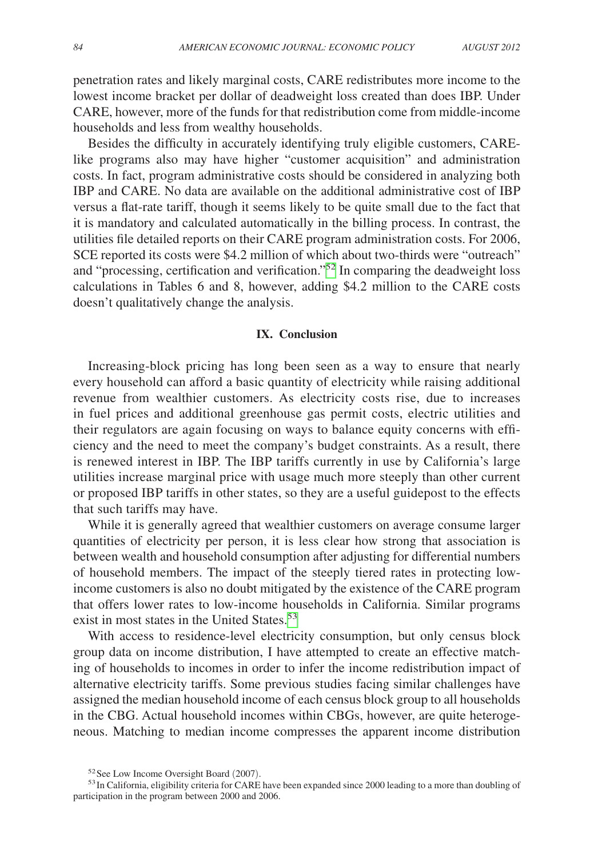<span id="page-28-0"></span>penetration rates and likely marginal costs, CARE redistributes more income to the lowest income bracket per dollar of deadweight loss created than does IBP. Under CARE, however, more of the funds for that redistribution come from middle-income households and less from wealthy households.

Besides the difficulty in accurately identifying truly eligible customers, CARElike programs also may have higher "customer acquisition" and administration costs. In fact, program administrative costs should be considered in analyzing both IBP and CARE. No data are available on the additional administrative cost of IBP versus a flat-rate tariff, though it seems likely to be quite small due to the fact that it is mandatory and calculated automatically in the billing process. In contrast, the utilities file detailed reports on their CARE program administration costs. For 2006, SCE reported its costs were \$4.2 million of which about two-thirds were "outreach" and "processing, certification and verification."[52](#page-28-1) In comparing the deadweight loss calculations in Tables 6 and 8, however, adding \$4.2 million to the CARE costs doesn't qualitatively change the analysis.

### **IX. Conclusion**

Increasing-block pricing has long been seen as a way to ensure that nearly every household can afford a basic quantity of electricity while raising additional revenue from wealthier customers. As electricity costs rise, due to increases in fuel prices and additional greenhouse gas permit costs, electric utilities and their regulators are again focusing on ways to balance equity concerns with efficiency and the need to meet the company's budget constraints. As a result, there is renewed interest in IBP. The IBP tariffs currently in use by California's large utilities increase marginal price with usage much more steeply than other current or proposed IBP tariffs in other states, so they are a useful guidepost to the effects that such tariffs may have.

While it is generally agreed that wealthier customers on average consume larger quantities of electricity per person, it is less clear how strong that association is between wealth and household consumption after adjusting for differential numbers of household members. The impact of the steeply tiered rates in protecting lowincome customers is also no doubt mitigated by the existence of the CARE program that offers lower rates to low-income households in California. Similar programs exist in most states in the United States.<sup>53</sup>

With access to residence-level electricity consumption, but only census block group data on income distribution, I have attempted to create an effective matching of households to incomes in order to infer the income redistribution impact of alternative electricity tariffs. Some previous studies facing similar challenges have assigned the median household income of each census block group to all households in the CBG. Actual household incomes within CBGs, however, are quite heterogeneous. Matching to median income compresses the apparent income distribution

<span id="page-28-2"></span><span id="page-28-1"></span>

<sup>&</sup>lt;sup>52</sup> See Low Income Oversight Board (2007).<br><sup>53</sup>In California, eligibility criteria for CARE have been expanded since 2000 leading to a more than doubling of participation in the program between 2000 and 2006.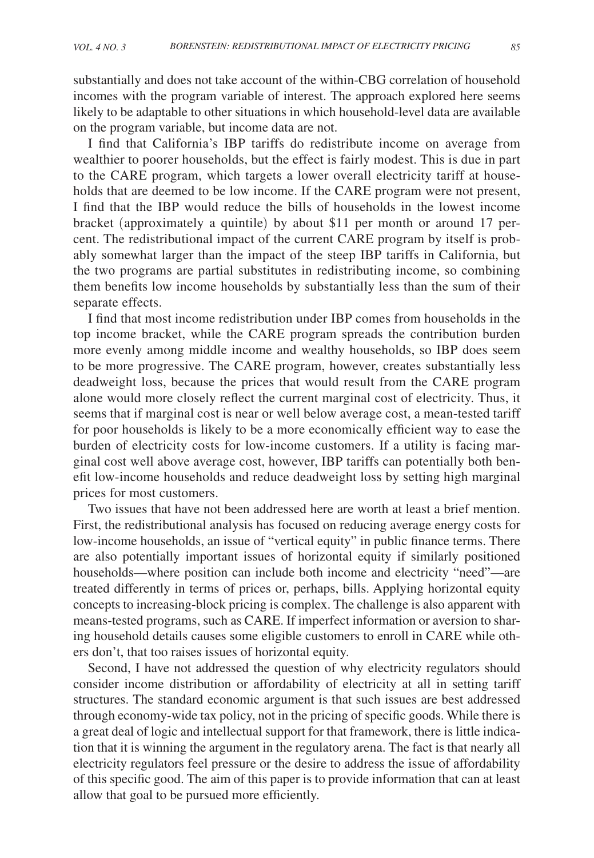substantially and does not take account of the within-CBG correlation of household incomes with the program variable of interest. The approach explored here seems likely to be adaptable to other situations in which household-level data are available on the program variable, but income data are not.

I find that California's IBP tariffs do redistribute income on average from wealthier to poorer households, but the effect is fairly modest. This is due in part to the CARE program, which targets a lower overall electricity tariff at households that are deemed to be low income. If the CARE program were not present, I find that the IBP would reduce the bills of households in the lowest income bracket (approximately a quintile) by about \$11 per month or around 17 percent. The redistributional impact of the current CARE program by itself is probably somewhat larger than the impact of the steep IBP tariffs in California, but the two programs are partial substitutes in redistributing income, so combining them benefits low income households by substantially less than the sum of their separate effects.

I find that most income redistribution under IBP comes from households in the top income bracket, while the CARE program spreads the contribution burden more evenly among middle income and wealthy households, so IBP does seem to be more progressive. The CARE program, however, creates substantially less deadweight loss, because the prices that would result from the CARE program alone would more closely reflect the current marginal cost of electricity. Thus, it seems that if marginal cost is near or well below average cost, a mean-tested tariff for poor households is likely to be a more economically efficient way to ease the burden of electricity costs for low-income customers. If a utility is facing marginal cost well above average cost, however, IBP tariffs can potentially both benefit low-income households and reduce deadweight loss by setting high marginal prices for most customers.

Two issues that have not been addressed here are worth at least a brief mention. First, the redistributional analysis has focused on reducing average energy costs for low-income households, an issue of "vertical equity" in public finance terms. There are also potentially important issues of horizontal equity if similarly positioned households—where position can include both income and electricity "need"—are treated differently in terms of prices or, perhaps, bills. Applying horizontal equity concepts to increasing-block pricing is complex. The challenge is also apparent with means-tested programs, such as CARE. If imperfect information or aversion to sharing household details causes some eligible customers to enroll in CARE while others don't, that too raises issues of horizontal equity.

Second, I have not addressed the question of why electricity regulators should consider income distribution or affordability of electricity at all in setting tariff structures. The standard economic argument is that such issues are best addressed through economy-wide tax policy, not in the pricing of specific goods. While there is a great deal of logic and intellectual support for that framework, there is little indication that it is winning the argument in the regulatory arena. The fact is that nearly all electricity regulators feel pressure or the desire to address the issue of affordability of this specific good. The aim of this paper is to provide information that can at least allow that goal to be pursued more efficiently.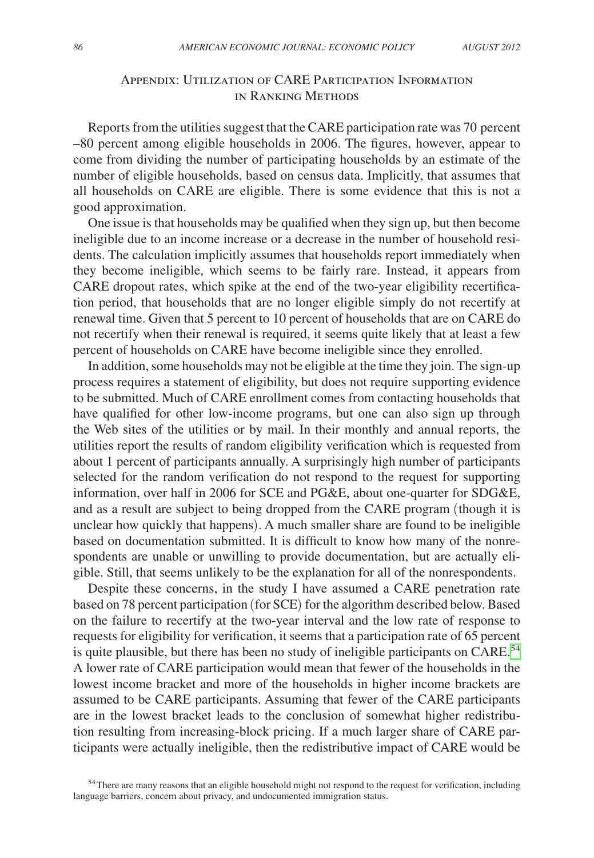## <span id="page-30-0"></span>Appendix: Utilization of CARE Participation Information in Ranking Methods

Reports from the utilities suggest that the CARE participation rate was 70 percent –80 percent among eligible households in 2006. The figures, however, appear to come from dividing the number of participating households by an estimate of the number of eligible households, based on census data. Implicitly, that assumes that all households on CARE are eligible. There is some evidence that this is not a good approximation.

One issue is that households may be qualified when they sign up, but then become ineligible due to an income increase or a decrease in the number of household residents. The calculation implicitly assumes that households report immediately when they become ineligible, which seems to be fairly rare. Instead, it appears from CARE dropout rates, which spike at the end of the two-year eligibility recertification period, that households that are no longer eligible simply do not recertify at renewal time. Given that 5 percent to 10 percent of households that are on CARE do not recertify when their renewal is required, it seems quite likely that at least a few percent of households on CARE have become ineligible since they enrolled.

In addition, some households may not be eligible at the time they join. The sign-up process requires a statement of eligibility, but does not require supporting evidence to be submitted. Much of CARE enrollment comes from contacting households that have qualified for other low-income programs, but one can also sign up through the Web sites of the utilities or by mail. In their monthly and annual reports, the utilities report the results of random eligibility verification which is requested from about 1 percent of participants annually. A surprisingly high number of participants selected for the random verification do not respond to the request for supporting information, over half in 2006 for SCE and PG&E, about one-quarter for SDG&E, and as a result are subject to being dropped from the CARE program (though it is unclear how quickly that happens). A much smaller share are found to be ineligible based on documentation submitted. It is difficult to know how many of the nonrespondents are unable or unwilling to provide documentation, but are actually eligible. Still, that seems unlikely to be the explanation for all of the nonrespondents.

Despite these concerns, in the study I have assumed a CARE penetration rate based on 78 percent participation (for SCE) for the algorithm described below. Based on the failure to recertify at the two-year interval and the low rate of response to requests for eligibility for verification, it seems that a participation rate of 65 percent is quite plausible, but there has been no study of ineligible participants on CARE.<sup>[54](#page-30-1)</sup> A lower rate of CARE participation would mean that fewer of the households in the lowest income bracket and more of the households in higher income brackets are assumed to be CARE participants. Assuming that fewer of the CARE participants are in the lowest bracket leads to the conclusion of somewhat higher redistribution resulting from increasing-block pricing. If a much larger share of CARE participants were actually ineligible, then the redistributive impact of CARE would be

<span id="page-30-1"></span><sup>54</sup>There are many reasons that an eligible household might not respond to the request for verification, including language barriers, concern about privacy, and undocumented immigration status.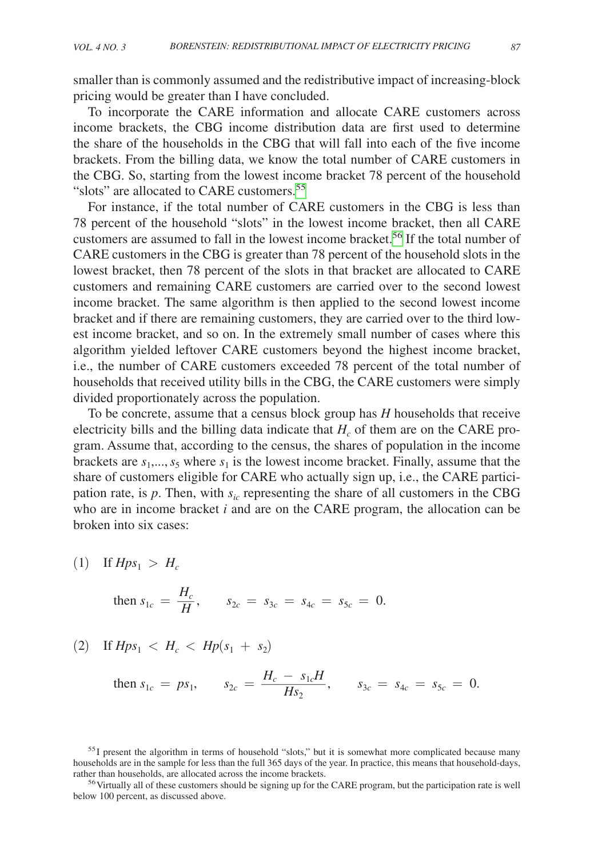smaller than is commonly assumed and the redistributive impact of increasing-block pricing would be greater than I have concluded.

To incorporate the CARE information and allocate CARE customers across income brackets, the CBG income distribution data are first used to determine the share of the households in the CBG that will fall into each of the five income brackets. From the billing data, we know the total number of CARE customers in the CBG. So, starting from the lowest income bracket 78 percent of the household "slots" are allocated to CARE customers.<sup>55</sup>

For instance, if the total number of CARE customers in the CBG is less than 78 percent of the household "slots" in the lowest income bracket, then all CARE customers are assumed to fall in the lowest income bracket.<sup>56</sup> If the total number of CARE customers in the CBG is greater than 78 percent of the household slots in the lowest bracket, then 78 percent of the slots in that bracket are allocated to CARE customers and remaining CARE customers are carried over to the second lowest income bracket. The same algorithm is then applied to the second lowest income bracket and if there are remaining customers, they are carried over to the third lowest income bracket, and so on. In the extremely small number of cases where this algorithm yielded leftover CARE customers beyond the highest income bracket, i.e., the number of CARE customers exceeded 78 percent of the total number of households that received utility bills in the CBG, the CARE customers were simply divided proportionately across the population.

To be concrete, assume that a census block group has *H* households that receive electricity bills and the billing data indicate that  $H<sub>c</sub>$  of them are on the CARE program. Assume that, according to the census, the shares of population in the income brackets are  $s_1, \ldots, s_5$  where  $s_1$  is the lowest income bracket. Finally, assume that the share of customers eligible for CARE who actually sign up, i.e., the CARE participation rate, is  $p$ . Then, with  $s_{ic}$  representing the share of all customers in the CBG who are in income bracket *i* and are on the CARE program, the allocation can be broken into six cases:

 $(1)$  If  $Hps_1 > H_c$ 

then 
$$
s_{1c} = \frac{H_c}{H}
$$
,  $s_{2c} = s_{3c} = s_{4c} = s_{5c} = 0$ .

(2) If 
$$
Hps_1 < H_c < Hp(s_1 + s_2)
$$

If 
$$
Hps_1 < H_c < Hp(s_1 + s_2)
$$
  
\nthen  $s_{1c} = ps_1$ ,  $s_{2c} = \frac{H_c - s_{1c}H}{Hs_2}$ ,  $s_{3c} = s_{4c} = s_{5c} = 0$ .

<span id="page-31-0"></span><sup>&</sup>lt;sup>55</sup>I present the algorithm in terms of household "slots," but it is somewhat more complicated because many households are in the sample for less than the full 365 days of the year. In practice, this means that household-days, rather than households, are allocated across the income brackets.

<span id="page-31-1"></span><sup>&</sup>lt;sup>56</sup> Virtually all of these customers should be signing up for the CARE program, but the participation rate is well below 100 percent, as discussed above.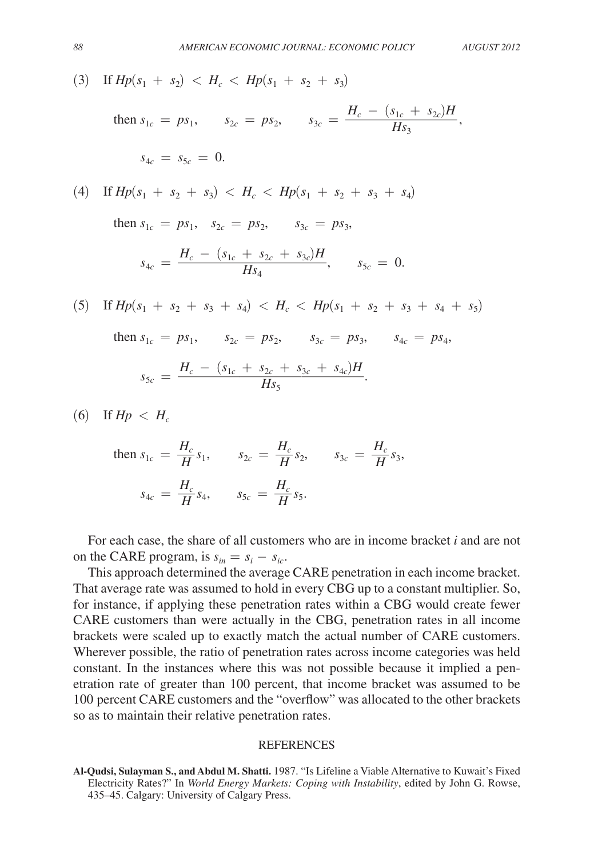<span id="page-32-0"></span>(3) If 
$$
Hp(s_1 + s_2) < H_c < Hp(s_1 + s_2 + s_3)
$$
  
\nthen  $s_{1c} = ps_1$ ,  $s_{2c} = ps_2$ ,  $s_{3c} = \frac{H_c - (s_{1c} + s_{2c})H}{Hs_3}$ ,  
\n $s_{4c} = s_{5c} = 0$ .  
\n(4) If  $Hp(s_1 + s_2 + s_3) < H_c < Hp(s_1 + s_2 + s_3 + s_4)$   
\nthen  $s_{1c} = ps_1$ ,  $s_{2c} = ps_2$ ,  $s_{3c} = ps_3$ ,  
\n $s_{4c} = \frac{H_c - (s_{1c} + s_{2c} + s_{3c})H}{Hs_4}$ ,  $s_{5c} = 0$ .  
\n(5) If  $Hp(s_1 + s_2 + s_3 + s_4) < H_c < Hp(s_1 + s_2 + s_3 + s_4 + s_5)$ 

(5) If  $Hp(s_1 + s_2 + s_3 + s_4) < H_c < Hp(s_1 + s_2 + s_3 + s_4)$ 

then 
$$
s_{1c} = ps_1
$$
,  $s_{2c} = ps_2$ ,  $s_{3c} = ps_3$ ,  $s_{4c} = ps_4$ ,  
\n
$$
s_{5c} = \frac{H_c - (s_{1c} + s_{2c} + s_{3c} + s_{4c})H}{Hs_5}
$$
\n(6) If  $H_n \lt H$ 

(6) If  $H_p < H_c$ 

then 
$$
s_{1c} = \frac{H_c}{H} s_1
$$
,  $s_{2c} = \frac{H_c}{H} s_2$ ,  $s_{3c} = \frac{H_c}{H} s_3$ ,  
 $s_{4c} = \frac{H_c}{H} s_4$ ,  $s_{5c} = \frac{H_c}{H} s_5$ .

For each case, the share of all customers who are in income bracket *i* and are not on the CARE program, is  $s_{in} = s_i - s_{ic}$ .

This approach determined the average CARE penetration in each income bracket. That average rate was assumed to hold in every CBG up to a constant multiplier. So, for instance, if applying these penetration rates within a CBG would create fewer CARE customers than were actually in the CBG, penetration rates in all income brackets were scaled up to exactly match the actual number of CARE customers. Wherever possible, the ratio of penetration rates across income categories was held constant. In the instances where this was not possible because it implied a penetration rate of greater than 100 percent, that income bracket was assumed to be 100 percent CARE customers and the "overflow" was allocated to the other brackets so as to maintain their relative penetration rates.

#### **REFERENCES**

**Al-Qudsi, Sulayman S., and Abdul M. Shatti.** 1987. "Is Lifeline a Viable Alternative to Kuwait's Fixed Electricity Rates?" In *World Energy Markets: Coping with Instability*, edited by John G. Rowse, 435–45. Calgary: University of Calgary Press.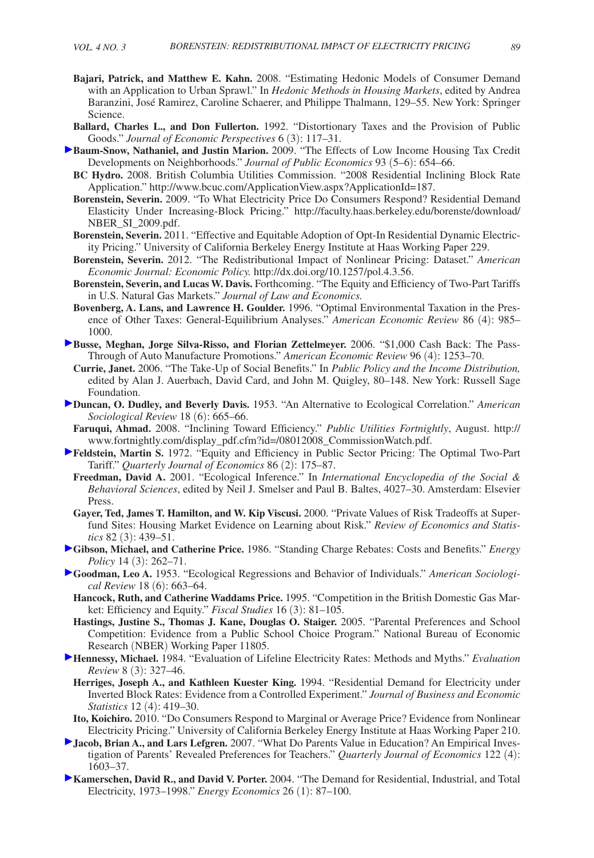- **Bajari, Patrick, and Matthew E. Kahn.** 2008. "Estimating Hedonic Models of Consumer Demand with an Application to Urban Sprawl." In *Hedonic Methods in Housing Markets*, edited by Andrea Baranzini, José Ramirez, Caroline Schaerer, and Philippe Thalmann, 129–55. New York: Springer Science.
- **Ballard, Charles L., and Don Fullerton.** 1992. "Distortionary Taxes and the Provision of Public Goods." *Journal of Economic Perspectives* 6 (3): 117–31.
- **Baum-Snow, Nathaniel, and Justin Marion.** 2009. "The Effects of Low Income Housing Tax Credit Developments on Neighborhoods." *Journal of Public Economics* 93 (5–6): 654–66.
	- **BC Hydro.** 2008. British Columbia Utilities Commission. "2008 Residential Inclining Block Rate Application."<http://www.bcuc.com/ApplicationView.aspx?ApplicationId=187>.
	- **Borenstein, Severin.** 2009. "To What Electricity Price Do Consumers Respond? Residential Demand Elasticity Under Increasing-Block Pricing." [http://faculty.haas.berkeley.edu/borenste/download/](http://faculty.haas.berkeley.edu/borenste/download/NBER_SI_2009.pdf) NBER SI 2009.pdf.
	- **Borenstein, Severin.** 2011. "Effective and Equitable Adoption of Opt-In Residential Dynamic Electricity Pricing." University of California Berkeley Energy Institute at Haas Working Paper 229.
	- **Borenstein, Severin.** 2012. "The Redistributional Impact of Nonlinear Pricing: Dataset." *American Economic Journal: Economic Policy.* [http://dx.doi.org/10.1257/pol.4.3.56.](http://dx.doi.org/10.1257/pol.4.3.56)
	- **Borenstein, Severin, and Lucas W. Davis.** Forthcoming. "The Equity and Efficiency of Two-Part Tariffs in U.S. Natural Gas Markets." *Journal of Law and Economics.*
	- **Bovenberg, A. Lans, and Lawrence H. Goulder.** 1996. "Optimal Environmental Taxation in the Presence of Other Taxes: General-Equilibrium Analyses." *American Economic Review* 86 (4): 985– 1000.
- **Busse, Meghan, Jorge Silva-Risso, and Florian Zettelmeyer.** 2006. "\$1,000 Cash Back: The Pass-Through of Auto Manufacture Promotions." *American Economic Review* 96 (4): 1253–70.
- **Currie, Janet.** 2006. "The Take-Up of Social Benefits." In *Public Policy and the Income Distribution,*  edited by Alan J. Auerbach, David Card, and John M. Quigley, 80–148. New York: Russell Sage Foundation.
- **Duncan, O. Dudley, and Beverly Davis.** 1953. "An Alternative to Ecological Correlation." *American Sociological Review* 18 (6): 665–66.
- **Faruqui, Ahmad.** 2008. "Inclining Toward Efficiency." *Public Utilities Fortnightly*, August. [http://](http://www.fortnightly.com/display_pdf.cfm?id=/08012008_CommissionWatch.pdf) [www.fortnightly.com/display\\_pdf.cfm?id=/08012008\\_CommissionWatch.pdf.](http://www.fortnightly.com/display_pdf.cfm?id=/08012008_CommissionWatch.pdf)
- **Feldstein, Martin S. 1972.** "Equity and Efficiency in Public Sector Pricing: The Optimal Two-Part Tariff." *Quarterly Journal of Economics* 86 (2): 175–87.
	- **Freedman, David A.** 2001. "Ecological Inference." In *International Encyclopedia of the Social & Behavioral Sciences*, edited by Neil J. Smelser and Paul B. Baltes, 4027–30. Amsterdam: Elsevier Press.
	- **Gayer, Ted, James T. Hamilton, and W. Kip Viscusi.** 2000. "Private Values of Risk Tradeoffs at Superfund Sites: Housing Market Evidence on Learning about Risk." *Review of Economics and Statistics* 82 (3): 439–51.
- **Gibson, Michael, and Catherine Price.** 1986. "Standing Charge Rebates: Costs and Benefits." *Energy Policy* 14 (3): 262–71.
- **Goodman, Leo A.** 1953. "Ecological Regressions and Behavior of Individuals." *American Sociological Review* 18 (6): 663–64.
- **Hancock, Ruth, and Catherine Waddams Price.** 1995. "Competition in the British Domestic Gas Market: Efficiency and Equity." *Fiscal Studies* 16 (3): 81–105.
- **Hastings, Justine S., Thomas J. Kane, Douglas O. Staiger.** 2005. "Parental Preferences and School Competition: Evidence from a Public School Choice Program." National Bureau of Economic Research (NBER) Working Paper 11805.
- **Hennessy, Michael.** 1984. "Evaluation of Lifeline Electricity Rates: Methods and Myths." *Evaluation Review* 8 (3): 327–46.
	- **Herriges, Joseph A., and Kathleen Kuester King.** 1994. "Residential Demand for Electricity under Inverted Block Rates: Evidence from a Controlled Experiment." *Journal of Business and Economic Statistics* 12 (4): 419–30.
	- **Ito, Koichiro.** 2010. "Do Consumers Respond to Marginal or Average Price? Evidence from Nonlinear Electricity Pricing." University of California Berkeley Energy Institute at Haas Working Paper 210.
- **Jacob, Brian A., and Lars Lefgren.** 2007. "What Do Parents Value in Education? An Empirical Investigation of Parents' Revealed Preferences for Teachers." *Quarterly Journal of Economics* 122 (4): 1603–37.
- **Kamerschen, David R., and David V. Porter.** 2004. "The Demand for Residential, Industrial, and Total Electricity, 1973–1998." *Energy Economics* 26 (1): 87–100.